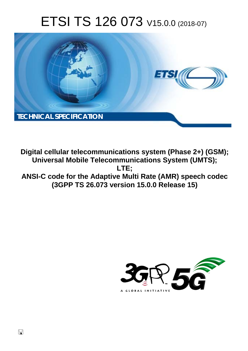# ETSI TS 126 073 V15.0.0 (2018-07)



**Digital cellular telecommunications system (Phase 2+) (GSM); Universal Mobile Telecommunications System (UMTS); LTE; ANSI-C code for the Adaptive Multi Rate (AMR) speech codec (3GPP TS 26.073 version 15.0.0 Release 15)** 

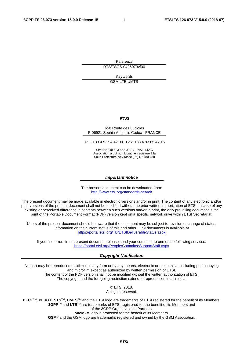Reference

RTS/TSGS-0426073vf00

Keywords GSM,LTE,UMTS

#### *ETSI*

#### 650 Route des Lucioles F-06921 Sophia Antipolis Cedex - FRANCE

Tel.: +33 4 92 94 42 00 Fax: +33 4 93 65 47 16

Siret N° 348 623 562 00017 - NAF 742 C Association à but non lucratif enregistrée à la Sous-Préfecture de Grasse (06) N° 7803/88

#### *Important notice*

The present document can be downloaded from: <http://www.etsi.org/standards-search>

The present document may be made available in electronic versions and/or in print. The content of any electronic and/or print versions of the present document shall not be modified without the prior written authorization of ETSI. In case of any existing or perceived difference in contents between such versions and/or in print, the only prevailing document is the print of the Portable Document Format (PDF) version kept on a specific network drive within ETSI Secretariat.

Users of the present document should be aware that the document may be subject to revision or change of status. Information on the current status of this and other ETSI documents is available at <https://portal.etsi.org/TB/ETSIDeliverableStatus.aspx>

If you find errors in the present document, please send your comment to one of the following services: <https://portal.etsi.org/People/CommiteeSupportStaff.aspx>

#### *Copyright Notification*

No part may be reproduced or utilized in any form or by any means, electronic or mechanical, including photocopying and microfilm except as authorized by written permission of ETSI. The content of the PDF version shall not be modified without the written authorization of ETSI. The copyright and the foregoing restriction extend to reproduction in all media.

> © ETSI 2018. All rights reserved.

**DECT**TM, **PLUGTESTS**TM, **UMTS**TM and the ETSI logo are trademarks of ETSI registered for the benefit of its Members. **3GPP**TM and **LTE**TM are trademarks of ETSI registered for the benefit of its Members and of the 3GPP Organizational Partners. **oneM2M** logo is protected for the benefit of its Members.

**GSM**® and the GSM logo are trademarks registered and owned by the GSM Association.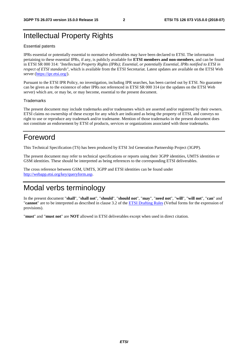# Intellectual Property Rights

#### Essential patents

IPRs essential or potentially essential to normative deliverables may have been declared to ETSI. The information pertaining to these essential IPRs, if any, is publicly available for **ETSI members and non-members**, and can be found in ETSI SR 000 314: *"Intellectual Property Rights (IPRs); Essential, or potentially Essential, IPRs notified to ETSI in respect of ETSI standards"*, which is available from the ETSI Secretariat. Latest updates are available on the ETSI Web server ([https://ipr.etsi.org/\)](https://ipr.etsi.org/).

Pursuant to the ETSI IPR Policy, no investigation, including IPR searches, has been carried out by ETSI. No guarantee can be given as to the existence of other IPRs not referenced in ETSI SR 000 314 (or the updates on the ETSI Web server) which are, or may be, or may become, essential to the present document.

#### **Trademarks**

The present document may include trademarks and/or tradenames which are asserted and/or registered by their owners. ETSI claims no ownership of these except for any which are indicated as being the property of ETSI, and conveys no right to use or reproduce any trademark and/or tradename. Mention of those trademarks in the present document does not constitute an endorsement by ETSI of products, services or organizations associated with those trademarks.

# Foreword

This Technical Specification (TS) has been produced by ETSI 3rd Generation Partnership Project (3GPP).

The present document may refer to technical specifications or reports using their 3GPP identities, UMTS identities or GSM identities. These should be interpreted as being references to the corresponding ETSI deliverables.

The cross reference between GSM, UMTS, 3GPP and ETSI identities can be found under [http://webapp.etsi.org/key/queryform.asp.](http://webapp.etsi.org/key/queryform.asp)

# Modal verbs terminology

In the present document "**shall**", "**shall not**", "**should**", "**should not**", "**may**", "**need not**", "**will**", "**will not**", "**can**" and "**cannot**" are to be interpreted as described in clause 3.2 of the [ETSI Drafting Rules](https://portal.etsi.org/Services/editHelp!/Howtostart/ETSIDraftingRules.aspx) (Verbal forms for the expression of provisions).

"**must**" and "**must not**" are **NOT** allowed in ETSI deliverables except when used in direct citation.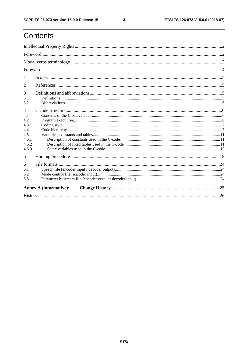# Contents

| 1<br>2<br>3<br>3.1<br>3.2<br>$\overline{4}$<br>4.1<br>4.2<br>4.3<br>4.4<br>4.5<br>4.5.1<br>4.5.2<br>4.5.3<br>5<br>6<br>6.1<br>6.2<br>6.3<br><b>Annex A (informative):</b> |  |  |
|---------------------------------------------------------------------------------------------------------------------------------------------------------------------------|--|--|
|                                                                                                                                                                           |  |  |
|                                                                                                                                                                           |  |  |
|                                                                                                                                                                           |  |  |
|                                                                                                                                                                           |  |  |
|                                                                                                                                                                           |  |  |
|                                                                                                                                                                           |  |  |
|                                                                                                                                                                           |  |  |
|                                                                                                                                                                           |  |  |
|                                                                                                                                                                           |  |  |
|                                                                                                                                                                           |  |  |
|                                                                                                                                                                           |  |  |
|                                                                                                                                                                           |  |  |
|                                                                                                                                                                           |  |  |
|                                                                                                                                                                           |  |  |
|                                                                                                                                                                           |  |  |
|                                                                                                                                                                           |  |  |
|                                                                                                                                                                           |  |  |
|                                                                                                                                                                           |  |  |
|                                                                                                                                                                           |  |  |
|                                                                                                                                                                           |  |  |
|                                                                                                                                                                           |  |  |
|                                                                                                                                                                           |  |  |

 $\mathbf{3}$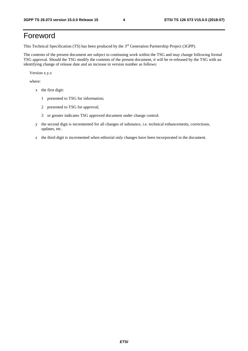# Foreword

This Technical Specification (TS) has been produced by the 3rd Generation Partnership Project (3GPP).

The contents of the present document are subject to continuing work within the TSG and may change following formal TSG approval. Should the TSG modify the contents of the present document, it will be re-released by the TSG with an identifying change of release date and an increase in version number as follows:

Version x.y.z

where:

- x the first digit:
	- 1 presented to TSG for information;
	- 2 presented to TSG for approval;
	- 3 or greater indicates TSG approved document under change control.
- y the second digit is incremented for all changes of substance, i.e. technical enhancements, corrections, updates, etc.
- z the third digit is incremented when editorial only changes have been incorporated in the document.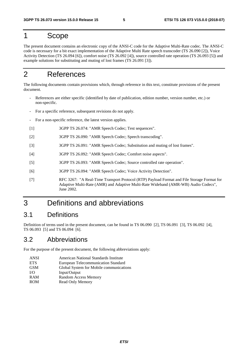## 1 Scope

The present document contains an electronic copy of the ANSI-C code for the Adaptive Multi-Rate codec. The ANSI-C code is necessary for a bit exact implementation of the Adaptive Multi Rate speech transcoder (TS 26.090 [2]), Voice Activity Detection (TS 26.094 [6]), comfort noise (TS 26.092 [4]), source controlled rate operation (TS 26.093 [5]) and example solutions for substituting and muting of lost frames (TS 26.091 [3]).

# 2 References

The following documents contain provisions which, through reference in this text, constitute provisions of the present document.

- References are either specific (identified by date of publication, edition number, version number, etc.) or non-specific.
- For a specific reference, subsequent revisions do not apply.
- For a non-specific reference, the latest version applies.
- [1] 3GPP TS 26.074: "AMR Speech Codec; Test sequences".
- [2] 3GPP TS 26.090: "AMR Speech Codec; Speech transcoding".
- [3] 3GPP TS 26.091: "AMR Speech Codec; Substitution and muting of lost frames".
- [4] 3GPP TS 26.092: "AMR Speech Codec; Comfort noise aspects".
- [5] 3GPP TS 26.093: "AMR Speech Codec; Source controlled rate operation".
- [6] 3GPP TS 26.094: "AMR Speech Codec; Voice Activity Detection".
- [7] RFC 3267: "A Real-Time Transport Protocol (RTP) Payload Format and File Storage Format for Adaptive Multi-Rate (AMR) and Adaptive Multi-Rate Wideband (AMR-WB) Audio Codecs", June 2002.

# 3 Definitions and abbreviations

### 3.1 Definitions

Definition of terms used in the present document, can be found in TS 06.090 [2], TS 06.091 [3], TS 06.092 [4], TS 06.093 [5] and TS 06.094 [6].

### 3.2 Abbreviations

For the purpose of the present document, the following abbreviations apply:

| <b>ANSI</b> | American National Standards Institute   |
|-------------|-----------------------------------------|
| <b>ETS</b>  | European Telecommunication Standard     |
| <b>GSM</b>  | Global System for Mobile communications |
| I/O         | Input/Output                            |
| <b>RAM</b>  | Random Access Memory                    |
| <b>ROM</b>  | Read Only Memory                        |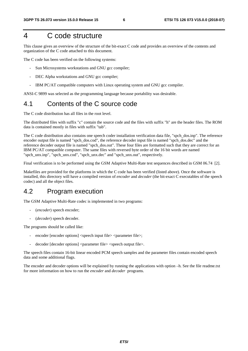# 4 C code structure

This clause gives an overview of the structure of the bit-exact C code and provides an overview of the contents and organization of the C code attached to this document.

The C code has been verified on the following systems:

- Sun Microsystems workstations and GNU gcc compiler;
- DEC Alpha workstations and GNU gcc compiler;
- IBM PC/AT compatible computers with Linux operating system and GNU gcc compiler.

ANSI-C 9899 was selected as the programming language because portability was desirable.

### 4.1 Contents of the C source code

The C code distribution has all files in the root level.

The distributed files with suffix "c" contain the source code and the files with suffix "h" are the header files. The ROM data is contained mostly in files with suffix "tab".

The C code distribution also contains one speech coder installation verification data file, "spch\_dos.inp". The reference encoder output file is named "spch\_dos.cod", the reference decoder input file is named "spch\_dos.dec" and the reference decoder output file is named "spch\_dos.out". These four files are formatted such that they are correct for an IBM PC/AT compatible computer. The same files with reversed byte order of the 16 bit words are named "spch\_unx.inp", "spch\_unx.cod", "spch\_unx.dec" and "spch\_unx.out", respectively.

Final verification is to be performed using the GSM Adaptive Multi-Rate test sequences described in GSM 06.74 [2].

Makefiles are provided for the platforms in which the C code has been verified (listed above). Once the software is installed, this directory will have a compiled version of *encoder* and *decoder* (the bit-exact C executables of the speech codec) and all the object files.

### 4.2 Program execution

The GSM Adaptive Multi-Rate codec is implemented in two programs:

- (*encoder*) speech encoder;
- (*decoder*) speech decoder.

The programs should be called like:

- encoder [encoder options] <speech input file> <parameter file>;
- decoder [decoder options] <parameter file> <speech output file>.

The speech files contain 16-bit linear encoded PCM speech samples and the parameter files contain encoded speech data and some additional flags.

The encoder and decoder options will be explained by running the applications with option –h. See the file readme.txt for more information on how to run the *encoder* and *decoder* programs.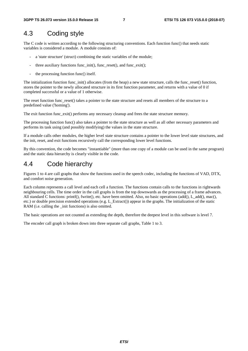### 4.3 Coding style

The C code is written according to the following structuring conventions. Each function func() that needs static variables is considered a module. A module consists of:

- a 'state structure' (struct) combining the static variables of the module;
- three auxiliary functions func\_init(), func\_reset(), and func\_exit();
- the processing function func() itself.

The initialization function func\_init() allocates (from the heap) a new state structure, calls the func\_reset() function, stores the pointer to the newly allocated structure in its first function parameter, and returns with a value of 0 if completed successful or a value of 1 otherwise.

The reset function func reset() takes a pointer to the state structure and resets all members of the structure to a predefined value ('homing').

The exit function func exit() performs any necessary cleanup and frees the state structure memory.

The processing function func() also takes a pointer to the state structure as well as all other necessary parameters and performs its task using (and possibly modifying) the values in the state structure.

If a module calls other modules, the higher level state structure contains a pointer to the lower level state structures, and the init, reset, and exit functions recursively call the corresponding lower level functions.

By this convention, the code becomes "instantiable" (more than one copy of a module can be used in the same program) and the static data hierarchy is clearly visible in the code.

### 4.4 Code hierarchy

Figures 1 to 4 are call graphs that show the functions used in the speech codec, including the functions of VAD, DTX, and comfort noise generation.

Each column represents a call level and each cell a function. The functions contain calls to the functions in rightwards neighbouring cells. The time order in the call graphs is from the top downwards as the processing of a frame advances. All standard C functions: printf(), fwrite(), etc. have been omitted. Also, no basic operations (add(), L\_add(), mac(), etc.) or double precision extended operations (e.g. L\_Extract()) appear in the graphs. The initialization of the static RAM (i.e. calling the \_init functions) is also omitted.

The basic operations are not counted as extending the depth, therefore the deepest level in this software is level 7.

The encoder call graph is broken down into three separate call graphs, Table 1 to 3.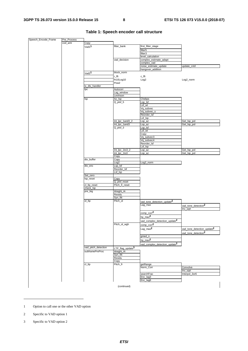| Speech_Encode_Frame | Pre_Process |                     |                              |                                           |                                        |
|---------------------|-------------|---------------------|------------------------------|-------------------------------------------|----------------------------------------|
|                     | cod_amr     | Copy                |                              |                                           |                                        |
|                     |             | Vad1 <sup>1</sup>   | filter_bank                  | first_filter_stage                        |                                        |
|                     |             |                     |                              | filter <sub>5</sub>                       |                                        |
|                     |             |                     |                              | filter3                                   |                                        |
|                     |             |                     |                              | level_calculation                         |                                        |
|                     |             |                     | vad_decision                 | complex_estimate_adapt                    |                                        |
|                     |             |                     |                              | complex_vad                               |                                        |
|                     |             |                     |                              | noise_estimate_update                     | update_cntrl                           |
|                     |             |                     |                              | hangover_addition                         |                                        |
|                     |             | Vad <sub>2</sub> 1  | block_norm                   |                                           |                                        |
|                     |             |                     | r_fft                        | c_fft                                     |                                        |
|                     |             |                     | fn10Log10                    | Log <sub>2</sub>                          | Log2_norm                              |
|                     |             |                     | Pow <sub>2</sub>             |                                           |                                        |
|                     |             | tx_dtx_handler      |                              |                                           |                                        |
|                     |             | lpc                 | Autocorr                     |                                           |                                        |
|                     |             |                     | Lag_window                   |                                           |                                        |
|                     |             |                     | Levinson                     |                                           |                                        |
|                     |             | <b>Isp</b>          | Az_Isp<br>$Q$ _plsf_5        | Chebps<br>Lsp_lsf                         |                                        |
|                     |             |                     |                              | Lsf_wt                                    |                                        |
|                     |             |                     |                              | Vq_subvec                                 |                                        |
|                     |             |                     |                              | Vq_subvec_s                               |                                        |
|                     |             |                     |                              | Reorder_Isf                               |                                        |
|                     |             |                     |                              | Lsf_lsp                                   |                                        |
|                     |             |                     | Int_lpc_1and3_2              | Lsp_az                                    | Get_Isp_pol                            |
|                     |             |                     | Int_lpc_1and3                | Lsp_az                                    | Get_Isp_pol                            |
|                     |             |                     | $Q$ _plsf_3                  | Lsp_lsf                                   |                                        |
|                     |             |                     |                              | Lsf_wt                                    |                                        |
|                     |             |                     |                              | Copy                                      |                                        |
|                     |             |                     |                              | Vq_subvec3                                |                                        |
|                     |             |                     |                              | Vq_subvec4                                |                                        |
|                     |             |                     |                              | Reorder_Isf                               |                                        |
|                     |             |                     |                              | Lsf_lsp                                   |                                        |
|                     |             |                     | Int_lpc_1to3_2               | Lsp_az                                    | Get_Isp_pol                            |
|                     |             |                     | Int_lpc_1to3                 | Lsp_az                                    | Get_Isp_pol                            |
|                     |             |                     | Copy                         |                                           |                                        |
|                     |             | dtx_buffer          | Copy                         |                                           |                                        |
|                     |             |                     | Log2                         | Log2_norm                                 |                                        |
|                     |             | dtx_enc             | Lsp_lsf                      |                                           |                                        |
|                     |             |                     | Reorder_Isf                  |                                           |                                        |
|                     |             |                     | Lsf_lsp                      |                                           |                                        |
|                     |             | Set_zero            |                              |                                           |                                        |
|                     |             | lsp_reset           | Copy<br>Q_plsf_reset         |                                           |                                        |
|                     |             | cl_ltp_reset        | Pitch_fr_reset               |                                           |                                        |
|                     |             | check_lsp           |                              |                                           |                                        |
|                     |             | pre_big             | Weight_Ai                    |                                           |                                        |
|                     |             |                     | Residu                       |                                           |                                        |
|                     |             |                     | Syn_filt                     |                                           |                                        |
|                     |             | ol_ltp              | Pitch_ol                     | vad_tone_detection_update <sup>2</sup>    |                                        |
|                     |             |                     |                              | Lag_max                                   |                                        |
|                     |             |                     |                              |                                           | vad_tone_detection <sup>2</sup>        |
|                     |             |                     |                              |                                           | Inv_sqrt                               |
|                     |             |                     |                              | $comp\_corr2$                             |                                        |
|                     |             |                     |                              | $hp_max^2$                                |                                        |
|                     |             |                     |                              | vad_complex_detection_update <sup>2</sup> |                                        |
|                     |             |                     | Pitch_ol_wgh                 | comp_corr <sup>2</sup>                    |                                        |
|                     |             |                     |                              | $Lag\_max^2$                              | vad_tone_detection_update <sup>2</sup> |
|                     |             |                     |                              |                                           |                                        |
|                     |             |                     |                              |                                           | vad_tone_detection <sup>2</sup>        |
|                     |             |                     |                              | gmed_n                                    |                                        |
|                     |             |                     |                              | hp_max $^2$                               |                                        |
|                     |             |                     |                              | vad_complex_detection_update <sup>2</sup> |                                        |
|                     |             | vad_pitch_detection | LTP_flag_update <sup>3</sup> |                                           |                                        |
|                     |             | subframePreProc     | Weight_Ai                    |                                           |                                        |
|                     |             |                     | Syn_filt                     |                                           |                                        |
|                     |             |                     | Residu                       |                                           |                                        |
|                     |             |                     | Copy                         |                                           |                                        |
|                     |             | cl_ltp              | Pitch_fr                     | getRange                                  |                                        |
|                     |             |                     |                              | Norm_Corr                                 | Convolve                               |
|                     |             |                     |                              |                                           | Inv_sqrt                               |
|                     |             |                     |                              | searchFrac                                | Interpol_3or6                          |
|                     |             |                     |                              | Enc_lag3                                  |                                        |
|                     |             |                     |                              | Enc_lag6                                  |                                        |
|                     |             |                     |                              |                                           |                                        |
|                     |             |                     | (continued)                  |                                           |                                        |

#### **Table 1: Speech encoder call structure**

1 Option to call one or the other VAD option

2 Specific to VAD option 1

-

3 Specific to VAD option 2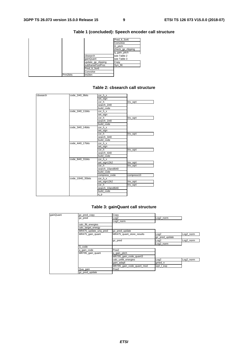|          |                    | Pred It 3or6      |
|----------|--------------------|-------------------|
|          |                    | Convolve          |
|          |                    | G pitch           |
|          |                    | check_gp_clipping |
|          |                    | q_gain_pitch      |
|          | cbsearch           | see Table 2       |
|          | qainQuant          | see Table 3       |
|          | update_gp_clipping | Copy              |
|          | subframePostProc   | Syn filt          |
|          | Pred It 3or6       |                   |
|          | Convolve           |                   |
| Prm2bits | Int2bin            |                   |

#### **Table 1 (concluded): Speech encoder call structure**

#### **Table 2: cbsearch call structure**

| cbsearch | code 2i40 9bits   | cor_h_x          |            |
|----------|-------------------|------------------|------------|
|          |                   | set_sign         |            |
|          |                   | cor_h            | Inv_sqrt   |
|          |                   | search 2i40      |            |
|          |                   | build code       |            |
|          | code_2i40_11bits  | cor_h_x          |            |
|          |                   | set_sign         |            |
|          |                   | cor h            | Inv_sqrt   |
|          |                   | search 2i40      |            |
|          |                   | build code       |            |
|          | code 3i40 14bits  | cor h x          |            |
|          |                   | set_sign         |            |
|          |                   | cor_h            | Inv_sqrt   |
|          |                   | search_3i40      |            |
|          |                   | build code       |            |
|          | code_4i40_17bits  | cor_h_x          |            |
|          |                   | set_sign         |            |
|          |                   | cor_h            | Inv_sqrt   |
|          |                   | search_4i40      |            |
|          |                   | build code       |            |
|          | code 8i40 31bits  | cor_h_x          |            |
|          |                   | set_sign12k2     | Inv_sqrt   |
|          |                   | cor h            | Inv_sqrt   |
|          |                   | search 10and8i40 |            |
|          |                   | build code       |            |
|          |                   | compress_code    | compress10 |
|          | code 10i40 35bits | cor h x          |            |
|          |                   | set_sign12k2     | Inv_sqrt   |
|          |                   | cor h            | Inv_sqrt   |
|          |                   | search_10and8i40 |            |
|          |                   | build code       |            |
|          |                   | $q_p$            |            |

#### **Table 3: gainQuant call structure**

| gainQuant | gc_pred_copy          | Copy                      |                  |           |
|-----------|-----------------------|---------------------------|------------------|-----------|
|           | gc_pred               | Log2                      | Log2_norm        |           |
|           |                       | Log2_norm                 |                  |           |
|           | calc_filt_energies    |                           |                  |           |
|           | calc_target_energy    |                           |                  |           |
|           | MR475_update_unq_pred | gc_pred_update            |                  |           |
|           | MR475_gain_quant      | MR475_quant_store_results | Log2             | Log2_norm |
|           |                       |                           | gc_pred_update   |           |
|           |                       | gc_pred                   | Log2             | Log2_norm |
|           |                       |                           | Log2_norm        |           |
|           | G_code                |                           |                  |           |
|           | q_gain_code           | Pow <sub>2</sub>          |                  |           |
|           | MR795_gain_quant      | q_gain_pitch              |                  |           |
|           |                       | MR795_gain_code_quant3    |                  |           |
|           |                       | calc_unfilt_energies      | Log <sub>2</sub> | Log2_norm |
|           |                       | gain_adapt                | gmed_n           |           |
|           |                       | MR795_gain_code_quant_mod | sqrt_l_exp       |           |
|           | Qua_gain              | Pow <sub>2</sub>          |                  |           |
|           | gc_pred_update        |                           |                  |           |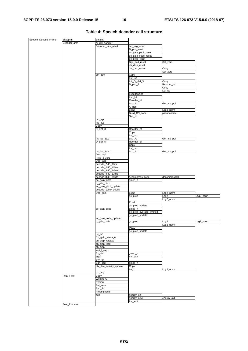| Speech_Decode_Frame | Bits2prm     | Bin2int                 |                         |                  |           |
|---------------------|--------------|-------------------------|-------------------------|------------------|-----------|
|                     | Decoder_amr  | rx_dtx_handler          |                         |                  |           |
|                     |              | Decoder_amr_reset       | lsp_avg_reset           |                  |           |
|                     |              |                         | D_plsf_reset            |                  |           |
|                     |              |                         | ec_gain_pitch_reset     |                  |           |
|                     |              |                         | ec_gain_code_reset      |                  |           |
|                     |              |                         | gc_pred_reset           |                  |           |
|                     |              |                         | Bgn_scd_reset           | Set_zero         |           |
|                     |              |                         | ph_disp_reset           |                  |           |
|                     |              |                         | dtx_dec_reset           | Copy             |           |
|                     |              |                         |                         | Set_zero         |           |
|                     |              | dtx_dec                 | Copy                    |                  |           |
|                     |              |                         | Lsf_lsp                 |                  |           |
|                     |              |                         | Init_D_plsf_3           | Copy             |           |
|                     |              |                         | $D_{plsf_3}$            | Reorder_Isf      |           |
|                     |              |                         |                         | Copy             |           |
|                     |              |                         |                         | Lsf_Isp          |           |
|                     |              |                         | pseudonoise             |                  |           |
|                     |              |                         | Lsp_lsf                 |                  |           |
|                     |              |                         | Reorder_Isf             |                  |           |
|                     |              |                         | Lsp_Az                  | Get_Isp_pol      |           |
|                     |              |                         | A_Refl                  |                  |           |
|                     |              |                         | Log <sub>2</sub>        | Log2_norm        |           |
|                     |              |                         | Build_CN_code           | pseudonoise      |           |
|                     |              |                         | Syn_filt                |                  |           |
|                     |              | Lsf_lsp                 |                         |                  |           |
|                     |              | lsp_avg                 |                         |                  |           |
|                     |              | Copy                    |                         |                  |           |
|                     |              | $D_{plsf_3}$            | Reorder_Isf             |                  |           |
|                     |              |                         | Copy                    |                  |           |
|                     |              |                         | Lsf_lsp                 |                  |           |
|                     |              | Int_lpc_1to3            | Lsp_Az                  | Get_Isp_pol      |           |
|                     |              | $D_{plsf_5}$            | Reorder_Isf             |                  |           |
|                     |              |                         | Copy                    |                  |           |
|                     |              |                         | Lsf_lsp                 |                  |           |
|                     |              | Int_lpc_1and3           | Lsp_Az                  | Get_Isp_pol      |           |
|                     |              | Dec_lag3                |                         |                  |           |
|                     |              | Pred_lt_3or6            |                         |                  |           |
|                     |              | Dec_lag6                |                         |                  |           |
|                     |              | decode_2i40_9bits       |                         |                  |           |
|                     |              | decode_2i40_11bits      |                         |                  |           |
|                     |              | decode_3i40_14bits      |                         |                  |           |
|                     |              | decode_4i40_17bits      |                         |                  |           |
|                     |              |                         |                         |                  |           |
|                     |              |                         |                         |                  |           |
|                     |              | decode_8i40_31bits      | decompress_code         | decompress10     |           |
|                     |              | ec_gain_pitch           | gmed_n                  |                  |           |
|                     |              | d_gain_pitch            |                         |                  |           |
|                     |              | ec_gain_pitch_update    |                         |                  |           |
|                     |              | decode_10i40_35bits     |                         |                  |           |
|                     |              | Dec_gain                | Log <sub>2</sub>        | Log2_norm        |           |
|                     |              |                         | gc_pred                 | Log <sub>2</sub> | Log2_norm |
|                     |              |                         |                         | Log2_norm        |           |
|                     |              |                         | Pow <sub>2</sub>        |                  |           |
|                     |              |                         | gc_pred_update          |                  |           |
|                     |              | ec_gain_code            | gmed_n                  |                  |           |
|                     |              |                         | gc_pred_average_limeted |                  |           |
|                     |              |                         | gc_pred_update          |                  |           |
|                     |              | ec_gain_code_update     |                         |                  |           |
|                     |              | d_gain_code             | gc_pred                 | Log <sub>2</sub> | Log2 norm |
|                     |              |                         |                         | Log2_norm        |           |
|                     |              |                         | Pow <sub>2</sub>        |                  |           |
|                     |              |                         | gc_pred_update          |                  |           |
|                     |              | Int_Isf                 |                         |                  |           |
|                     |              | Cb_gain_average         |                         |                  |           |
|                     |              | ph_disp_release         |                         |                  |           |
|                     |              | ph_disp_lock            |                         |                  |           |
|                     |              | ph_disp                 |                         |                  |           |
|                     |              | sqrt_l_exp              |                         |                  |           |
|                     |              | Ex_ctrl                 | gmed_n                  |                  |           |
|                     |              | agc2                    | Inv_sqrt                |                  |           |
|                     |              | Syn_filt                |                         |                  |           |
|                     |              | Bgn_scd                 | gmed_n                  |                  |           |
|                     |              | dtx_dec_activity_update | Copy                    |                  |           |
|                     |              |                         | Log <sub>2</sub>        | Log2_norm        |           |
|                     |              | lsp_avg                 |                         |                  |           |
|                     | Post_Filter  | Copy                    |                         |                  |           |
|                     |              | Weight_Ai               |                         |                  |           |
|                     |              | Residu                  |                         |                  |           |
|                     |              | Set_zero                |                         |                  |           |
|                     |              | Syn_filt                |                         |                  |           |
|                     |              | Preemphasis             |                         |                  |           |
|                     |              | agc                     | energy_old              |                  |           |
|                     |              |                         | energy_new              | energy_old       |           |
|                     | Post_Process |                         | Inv_sqrt                |                  |           |

#### **Table 4: Speech decoder call structure**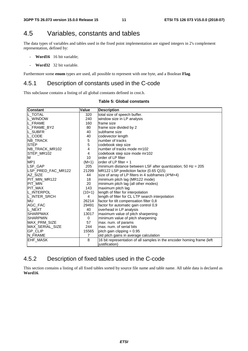### 4.5 Variables, constants and tables

The data types of variables and tables used in the fixed point implementation are signed integers in 2's complement representation, defined by:

- **Word16** 16 bit variable;
- **Word32** 32 bit variable.

Furthermore some **enum** types are used, all possible to represent with one byte, and a Boolean **Flag**.

### 4.5.1 Description of constants used in the C-code

This subclause contains a listing of all global constants defined in cnst.h.

#### **Table 5: Global constants**

| <b>Constant</b>        | Value          | <b>Description</b>                                                     |
|------------------------|----------------|------------------------------------------------------------------------|
| L TOTAL                | 320            | total size of speech buffer.                                           |
| IL WINDOW              | 240            | window size in LP analysis                                             |
| L_FRAME                | 160            | frame size                                                             |
| L FRAME BY2            | 80             | frame size divided by 2                                                |
| IL SUBFR               | 40             | subframe size                                                          |
| IL CODE                | 40             | codevector length                                                      |
| NB_TRACK               | 5              | number of tracks                                                       |
| <b>STEP</b>            | 5              | codebook step size                                                     |
| NB TRACK MR102         | 4              | number of tracks mode mr102                                            |
| STEP MR102             | 4              | codebook step size mode mr102                                          |
| M                      | 10             | order of LP filter                                                     |
| MP <sub>1</sub>        | $(M+1)$        | lorder of LP filter + 1                                                |
| LSF_GAP                | 205            | minimum distance between LSF after quantization; 50 Hz = 205           |
| LSP PRED FAC MR122     | 21299          | MR122 LSP prediction factor (0.65 Q15)                                 |
| AZ SIZE                | 44             | size of array of LP filters in 4 subframes (4*M+4)                     |
| PIT MIN MR122          | 18             | minimum pitch lag (MR122 mode)                                         |
| PIT MIN                | 20             | minimum pitch lag (all other modes)                                    |
| <b>PIT MAX</b>         | 143            | maximum pitch lag                                                      |
| L_INTERPOL             | $(10+1)$       | length of filter for interpolation                                     |
| L_INTER_SRCH           | 4              | length of filter for CL LTP search interpolation                       |
| MU                     | 26214          | factor for tilt compensation filter 0,8                                |
| AGC_FAC                | 29491          | factor for automatic gain control 0,9                                  |
| L NEXT                 | 40             | overhead in LP analysis                                                |
| <b>SHARPMAX</b>        | 13017          | maximum value of pitch sharpening                                      |
| <b>SHARPMIN</b>        | 0              | minimum value of pitch sharpening                                      |
| <b>MAX PRM SIZE</b>    | 57             | max. num. of params                                                    |
| <b>MAX SERIAL SIZE</b> | 244            | max, num, of serial bits                                               |
| <b>GP CLIP</b>         | 15565          | pitch gain clipping $= 0.95$                                           |
| N_FRAME                | $\overline{7}$ | old pitch gains in average calculation                                 |
| <b>EHF_MASK</b>        | 8              | 16 bit representation of all samples in the encoder homing frame (left |
|                        |                | justification)                                                         |

### 4.5.2 Description of fixed tables used in the C-code

This section contains a listing of all fixed tables sorted by source file name and table name. All table data is declared as **Word16**.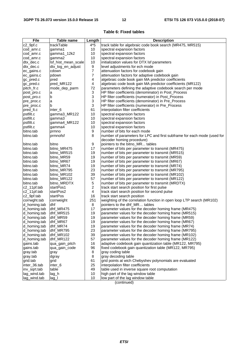#### **Table 6: Fixed tables**

| trackTable<br>track table for algebraic code book search (MR475, MR515)<br>$4*5$<br>10<br>gamma1<br>spectral expansion factors<br>cod_amr.c<br>10<br>spectral expansion factors<br>cod_amr.c<br>gamma1_12k2<br>10<br>gamma2<br>spectral expansion factors<br>cod_amr.c<br>10<br>dtx_dec.c<br>lsf_hist_mean_scale<br>initialization values for DTX Isf parameters<br>9<br>dtx_log_en_adjust<br>level adjustments for ech mode<br>dtx_dec.c<br>7<br>cdown<br>attenuation factors for codebook gain<br>ec_gains.c<br>7<br>attenuation factors for adaptive codebook gain<br>pdown<br>ec_gains.c<br>4<br>algebraic code book gain MA predictor coefficients<br>pred<br>gc_pred.c<br>pred_MR122<br>4<br>algebraic code book gain MA predictor coefficients (MR122)<br>gc_pred.c<br>72<br>parameters defining the adaptive codebook search per mode<br>pitch fr.c<br>mode_dep_parm<br>3<br>HP filter coefficients (denominator) in Post_Process<br>post_pro.c<br>a<br>3<br>HP filter coefficients (numerator) in Post_Process<br>b<br>post_pro.c<br>3<br>HP filter coefficients (denominator) in Pre_Process<br>a<br>pre_proc.c<br>3<br>b<br>HP filter coefficients (numerator) in Pre_Process<br>pre_proc.c<br>61<br>inter <sub>6</sub><br>interpolation filter coefficients<br>pred_lt.c<br>pstfilt.c<br>10<br>gamma3_MR122<br>spectral expansion factors<br>pstfilt.c<br>10<br>spectral expansion factors<br>gamma3<br>10<br>pstfilt.c<br>gamma4_MR122<br>spectral expansion factors<br>10<br>pstfilt.c<br>spectral expansion factors<br>gamma4<br>9<br>bitno.tab<br>prmno<br>number of bits for each mode<br>8<br>bitno.tab<br>prmnofsf<br>number of parameters for LPC and first subframe for each mode (used for<br>decoder homing procedure)<br>9<br>bitno.tab<br>bitno<br>pointers to the bitno_MR tables<br>17<br>bitno.tab<br>bitno_MR475<br>number of bits per parameter to transmit (MR475)<br>19<br>bitno.tab<br>bitno_MR515<br>number of bits per parameter to transmit (MR515)<br>19<br>bitno.tab<br>bitno_MR59<br>number of bits per parameter to transmit (MR59)<br>19<br>bitno_MR67<br>number of bits per parameter to transmit (MR67)<br>bitno.tab<br>19<br>bitno.tab<br>bitno_MR74<br>number of bits per parameter to transmit (MR74)<br>23<br>bitno.tab<br>bitno_MR795<br>number of bits per parameter to transmit (MR795)<br>39<br>bitno_MR102<br>bitno.tab<br>number of bits per parameter to transmit (MR102)<br>57<br>bitno.tab<br>bitno_MR122<br>number of bits per parameter to transmit (MR122)<br>5<br>bitno_MRDTX<br>number of bits per parameter to transmit (MRDTX)<br>2<br>startPos1<br>track start search position for first pulse<br>c2_11pf.tab<br>4<br>startPos2<br>track start search position for second pulse<br>startPos<br>16<br>track start search position<br>251<br>weighting of the correlation function in open loop LTP search (MR102)<br>corrweight<br>dhf<br>8<br>pointers to the dhf MR tables<br>dhf_MR475<br>17<br>parameter values for the decoder homing frame (MR475)<br>d_homing.tab<br>19<br>parameter values for the decoder homing frame (MR515)<br>d_homing.tab<br>dhf_MR515<br>d_homing.tab<br>19<br>parameter values for the decoder homing frame (MR59)<br>dhf_MR59<br>19<br>d_homing.tab<br>dhf_MR67<br>parameter values for the decoder homing frame (MR67)<br>d_homing.tab<br>dhf_MR74<br>parameter values for the decoder homing frame (MR74)<br>19<br>d_homing.tab<br>23<br>dhf_MR795<br>parameter values for the decoder homing frame (MR795)<br>d_homing.tab<br>39<br>parameter values for the decoder homing frame (MR102)<br>dhf_MR102<br>dhf_MR122<br>57<br>parameter values for the decoder homing frame (MR122)<br>d_homing.tab<br>adaptive codebook gain quantization table (MR122, MR795)<br>qua_gain_pitch<br>16<br>gains.tab<br>96<br>fixed codebook gain quantization table (MR122, MR795)<br>gains.tab<br>qua_gain_code<br>8<br>gray coding table<br>gray.tab<br>gray<br>8<br>gray decoding table<br>gray.tab<br>dgray<br>grid points at wich Chebyshev polynomials are evaluated<br>grid.tab<br>grid<br>61<br>25<br>inter_6<br>interpolation filter coefficients<br>inter_36.tab<br>49<br>table used in inverse square root computation<br>table<br>inv_sqrt.tab<br>high part of the lag window table<br>lag_wind.tab<br>lag_h<br>10 | <b>File</b>  | Table name | Length | <b>Description</b>               |
|-------------------------------------------------------------------------------------------------------------------------------------------------------------------------------------------------------------------------------------------------------------------------------------------------------------------------------------------------------------------------------------------------------------------------------------------------------------------------------------------------------------------------------------------------------------------------------------------------------------------------------------------------------------------------------------------------------------------------------------------------------------------------------------------------------------------------------------------------------------------------------------------------------------------------------------------------------------------------------------------------------------------------------------------------------------------------------------------------------------------------------------------------------------------------------------------------------------------------------------------------------------------------------------------------------------------------------------------------------------------------------------------------------------------------------------------------------------------------------------------------------------------------------------------------------------------------------------------------------------------------------------------------------------------------------------------------------------------------------------------------------------------------------------------------------------------------------------------------------------------------------------------------------------------------------------------------------------------------------------------------------------------------------------------------------------------------------------------------------------------------------------------------------------------------------------------------------------------------------------------------------------------------------------------------------------------------------------------------------------------------------------------------------------------------------------------------------------------------------------------------------------------------------------------------------------------------------------------------------------------------------------------------------------------------------------------------------------------------------------------------------------------------------------------------------------------------------------------------------------------------------------------------------------------------------------------------------------------------------------------------------------------------------------------------------------------------------------------------------------------------------------------------------------------------------------------------------------------------------------------------------------------------------------------------------------------------------------------------------------------------------------------------------------------------------------------------------------------------------------------------------------------------------------------------------------------------------------------------------------------------------------------------------------------------------------------------------------------------------------------------------------------------------------------------------------------------------------------------------------------------------------------------------------------------------------------------------------------------------------------------------------------------------------------------------------------------------------------------------------------------------------------------------------------------------------------------------------------------------------------------------------------------------------------------------------------|--------------|------------|--------|----------------------------------|
|                                                                                                                                                                                                                                                                                                                                                                                                                                                                                                                                                                                                                                                                                                                                                                                                                                                                                                                                                                                                                                                                                                                                                                                                                                                                                                                                                                                                                                                                                                                                                                                                                                                                                                                                                                                                                                                                                                                                                                                                                                                                                                                                                                                                                                                                                                                                                                                                                                                                                                                                                                                                                                                                                                                                                                                                                                                                                                                                                                                                                                                                                                                                                                                                                                                                                                                                                                                                                                                                                                                                                                                                                                                                                                                                                                                                                                                                                                                                                                                                                                                                                                                                                                                                                                                                                                                   | c2_9pf.c     |            |        |                                  |
|                                                                                                                                                                                                                                                                                                                                                                                                                                                                                                                                                                                                                                                                                                                                                                                                                                                                                                                                                                                                                                                                                                                                                                                                                                                                                                                                                                                                                                                                                                                                                                                                                                                                                                                                                                                                                                                                                                                                                                                                                                                                                                                                                                                                                                                                                                                                                                                                                                                                                                                                                                                                                                                                                                                                                                                                                                                                                                                                                                                                                                                                                                                                                                                                                                                                                                                                                                                                                                                                                                                                                                                                                                                                                                                                                                                                                                                                                                                                                                                                                                                                                                                                                                                                                                                                                                                   |              |            |        |                                  |
|                                                                                                                                                                                                                                                                                                                                                                                                                                                                                                                                                                                                                                                                                                                                                                                                                                                                                                                                                                                                                                                                                                                                                                                                                                                                                                                                                                                                                                                                                                                                                                                                                                                                                                                                                                                                                                                                                                                                                                                                                                                                                                                                                                                                                                                                                                                                                                                                                                                                                                                                                                                                                                                                                                                                                                                                                                                                                                                                                                                                                                                                                                                                                                                                                                                                                                                                                                                                                                                                                                                                                                                                                                                                                                                                                                                                                                                                                                                                                                                                                                                                                                                                                                                                                                                                                                                   |              |            |        |                                  |
|                                                                                                                                                                                                                                                                                                                                                                                                                                                                                                                                                                                                                                                                                                                                                                                                                                                                                                                                                                                                                                                                                                                                                                                                                                                                                                                                                                                                                                                                                                                                                                                                                                                                                                                                                                                                                                                                                                                                                                                                                                                                                                                                                                                                                                                                                                                                                                                                                                                                                                                                                                                                                                                                                                                                                                                                                                                                                                                                                                                                                                                                                                                                                                                                                                                                                                                                                                                                                                                                                                                                                                                                                                                                                                                                                                                                                                                                                                                                                                                                                                                                                                                                                                                                                                                                                                                   |              |            |        |                                  |
|                                                                                                                                                                                                                                                                                                                                                                                                                                                                                                                                                                                                                                                                                                                                                                                                                                                                                                                                                                                                                                                                                                                                                                                                                                                                                                                                                                                                                                                                                                                                                                                                                                                                                                                                                                                                                                                                                                                                                                                                                                                                                                                                                                                                                                                                                                                                                                                                                                                                                                                                                                                                                                                                                                                                                                                                                                                                                                                                                                                                                                                                                                                                                                                                                                                                                                                                                                                                                                                                                                                                                                                                                                                                                                                                                                                                                                                                                                                                                                                                                                                                                                                                                                                                                                                                                                                   |              |            |        |                                  |
|                                                                                                                                                                                                                                                                                                                                                                                                                                                                                                                                                                                                                                                                                                                                                                                                                                                                                                                                                                                                                                                                                                                                                                                                                                                                                                                                                                                                                                                                                                                                                                                                                                                                                                                                                                                                                                                                                                                                                                                                                                                                                                                                                                                                                                                                                                                                                                                                                                                                                                                                                                                                                                                                                                                                                                                                                                                                                                                                                                                                                                                                                                                                                                                                                                                                                                                                                                                                                                                                                                                                                                                                                                                                                                                                                                                                                                                                                                                                                                                                                                                                                                                                                                                                                                                                                                                   |              |            |        |                                  |
|                                                                                                                                                                                                                                                                                                                                                                                                                                                                                                                                                                                                                                                                                                                                                                                                                                                                                                                                                                                                                                                                                                                                                                                                                                                                                                                                                                                                                                                                                                                                                                                                                                                                                                                                                                                                                                                                                                                                                                                                                                                                                                                                                                                                                                                                                                                                                                                                                                                                                                                                                                                                                                                                                                                                                                                                                                                                                                                                                                                                                                                                                                                                                                                                                                                                                                                                                                                                                                                                                                                                                                                                                                                                                                                                                                                                                                                                                                                                                                                                                                                                                                                                                                                                                                                                                                                   |              |            |        |                                  |
|                                                                                                                                                                                                                                                                                                                                                                                                                                                                                                                                                                                                                                                                                                                                                                                                                                                                                                                                                                                                                                                                                                                                                                                                                                                                                                                                                                                                                                                                                                                                                                                                                                                                                                                                                                                                                                                                                                                                                                                                                                                                                                                                                                                                                                                                                                                                                                                                                                                                                                                                                                                                                                                                                                                                                                                                                                                                                                                                                                                                                                                                                                                                                                                                                                                                                                                                                                                                                                                                                                                                                                                                                                                                                                                                                                                                                                                                                                                                                                                                                                                                                                                                                                                                                                                                                                                   |              |            |        |                                  |
|                                                                                                                                                                                                                                                                                                                                                                                                                                                                                                                                                                                                                                                                                                                                                                                                                                                                                                                                                                                                                                                                                                                                                                                                                                                                                                                                                                                                                                                                                                                                                                                                                                                                                                                                                                                                                                                                                                                                                                                                                                                                                                                                                                                                                                                                                                                                                                                                                                                                                                                                                                                                                                                                                                                                                                                                                                                                                                                                                                                                                                                                                                                                                                                                                                                                                                                                                                                                                                                                                                                                                                                                                                                                                                                                                                                                                                                                                                                                                                                                                                                                                                                                                                                                                                                                                                                   |              |            |        |                                  |
|                                                                                                                                                                                                                                                                                                                                                                                                                                                                                                                                                                                                                                                                                                                                                                                                                                                                                                                                                                                                                                                                                                                                                                                                                                                                                                                                                                                                                                                                                                                                                                                                                                                                                                                                                                                                                                                                                                                                                                                                                                                                                                                                                                                                                                                                                                                                                                                                                                                                                                                                                                                                                                                                                                                                                                                                                                                                                                                                                                                                                                                                                                                                                                                                                                                                                                                                                                                                                                                                                                                                                                                                                                                                                                                                                                                                                                                                                                                                                                                                                                                                                                                                                                                                                                                                                                                   |              |            |        |                                  |
|                                                                                                                                                                                                                                                                                                                                                                                                                                                                                                                                                                                                                                                                                                                                                                                                                                                                                                                                                                                                                                                                                                                                                                                                                                                                                                                                                                                                                                                                                                                                                                                                                                                                                                                                                                                                                                                                                                                                                                                                                                                                                                                                                                                                                                                                                                                                                                                                                                                                                                                                                                                                                                                                                                                                                                                                                                                                                                                                                                                                                                                                                                                                                                                                                                                                                                                                                                                                                                                                                                                                                                                                                                                                                                                                                                                                                                                                                                                                                                                                                                                                                                                                                                                                                                                                                                                   |              |            |        |                                  |
|                                                                                                                                                                                                                                                                                                                                                                                                                                                                                                                                                                                                                                                                                                                                                                                                                                                                                                                                                                                                                                                                                                                                                                                                                                                                                                                                                                                                                                                                                                                                                                                                                                                                                                                                                                                                                                                                                                                                                                                                                                                                                                                                                                                                                                                                                                                                                                                                                                                                                                                                                                                                                                                                                                                                                                                                                                                                                                                                                                                                                                                                                                                                                                                                                                                                                                                                                                                                                                                                                                                                                                                                                                                                                                                                                                                                                                                                                                                                                                                                                                                                                                                                                                                                                                                                                                                   |              |            |        |                                  |
|                                                                                                                                                                                                                                                                                                                                                                                                                                                                                                                                                                                                                                                                                                                                                                                                                                                                                                                                                                                                                                                                                                                                                                                                                                                                                                                                                                                                                                                                                                                                                                                                                                                                                                                                                                                                                                                                                                                                                                                                                                                                                                                                                                                                                                                                                                                                                                                                                                                                                                                                                                                                                                                                                                                                                                                                                                                                                                                                                                                                                                                                                                                                                                                                                                                                                                                                                                                                                                                                                                                                                                                                                                                                                                                                                                                                                                                                                                                                                                                                                                                                                                                                                                                                                                                                                                                   |              |            |        |                                  |
|                                                                                                                                                                                                                                                                                                                                                                                                                                                                                                                                                                                                                                                                                                                                                                                                                                                                                                                                                                                                                                                                                                                                                                                                                                                                                                                                                                                                                                                                                                                                                                                                                                                                                                                                                                                                                                                                                                                                                                                                                                                                                                                                                                                                                                                                                                                                                                                                                                                                                                                                                                                                                                                                                                                                                                                                                                                                                                                                                                                                                                                                                                                                                                                                                                                                                                                                                                                                                                                                                                                                                                                                                                                                                                                                                                                                                                                                                                                                                                                                                                                                                                                                                                                                                                                                                                                   |              |            |        |                                  |
|                                                                                                                                                                                                                                                                                                                                                                                                                                                                                                                                                                                                                                                                                                                                                                                                                                                                                                                                                                                                                                                                                                                                                                                                                                                                                                                                                                                                                                                                                                                                                                                                                                                                                                                                                                                                                                                                                                                                                                                                                                                                                                                                                                                                                                                                                                                                                                                                                                                                                                                                                                                                                                                                                                                                                                                                                                                                                                                                                                                                                                                                                                                                                                                                                                                                                                                                                                                                                                                                                                                                                                                                                                                                                                                                                                                                                                                                                                                                                                                                                                                                                                                                                                                                                                                                                                                   |              |            |        |                                  |
|                                                                                                                                                                                                                                                                                                                                                                                                                                                                                                                                                                                                                                                                                                                                                                                                                                                                                                                                                                                                                                                                                                                                                                                                                                                                                                                                                                                                                                                                                                                                                                                                                                                                                                                                                                                                                                                                                                                                                                                                                                                                                                                                                                                                                                                                                                                                                                                                                                                                                                                                                                                                                                                                                                                                                                                                                                                                                                                                                                                                                                                                                                                                                                                                                                                                                                                                                                                                                                                                                                                                                                                                                                                                                                                                                                                                                                                                                                                                                                                                                                                                                                                                                                                                                                                                                                                   |              |            |        |                                  |
|                                                                                                                                                                                                                                                                                                                                                                                                                                                                                                                                                                                                                                                                                                                                                                                                                                                                                                                                                                                                                                                                                                                                                                                                                                                                                                                                                                                                                                                                                                                                                                                                                                                                                                                                                                                                                                                                                                                                                                                                                                                                                                                                                                                                                                                                                                                                                                                                                                                                                                                                                                                                                                                                                                                                                                                                                                                                                                                                                                                                                                                                                                                                                                                                                                                                                                                                                                                                                                                                                                                                                                                                                                                                                                                                                                                                                                                                                                                                                                                                                                                                                                                                                                                                                                                                                                                   |              |            |        |                                  |
|                                                                                                                                                                                                                                                                                                                                                                                                                                                                                                                                                                                                                                                                                                                                                                                                                                                                                                                                                                                                                                                                                                                                                                                                                                                                                                                                                                                                                                                                                                                                                                                                                                                                                                                                                                                                                                                                                                                                                                                                                                                                                                                                                                                                                                                                                                                                                                                                                                                                                                                                                                                                                                                                                                                                                                                                                                                                                                                                                                                                                                                                                                                                                                                                                                                                                                                                                                                                                                                                                                                                                                                                                                                                                                                                                                                                                                                                                                                                                                                                                                                                                                                                                                                                                                                                                                                   |              |            |        |                                  |
|                                                                                                                                                                                                                                                                                                                                                                                                                                                                                                                                                                                                                                                                                                                                                                                                                                                                                                                                                                                                                                                                                                                                                                                                                                                                                                                                                                                                                                                                                                                                                                                                                                                                                                                                                                                                                                                                                                                                                                                                                                                                                                                                                                                                                                                                                                                                                                                                                                                                                                                                                                                                                                                                                                                                                                                                                                                                                                                                                                                                                                                                                                                                                                                                                                                                                                                                                                                                                                                                                                                                                                                                                                                                                                                                                                                                                                                                                                                                                                                                                                                                                                                                                                                                                                                                                                                   |              |            |        |                                  |
|                                                                                                                                                                                                                                                                                                                                                                                                                                                                                                                                                                                                                                                                                                                                                                                                                                                                                                                                                                                                                                                                                                                                                                                                                                                                                                                                                                                                                                                                                                                                                                                                                                                                                                                                                                                                                                                                                                                                                                                                                                                                                                                                                                                                                                                                                                                                                                                                                                                                                                                                                                                                                                                                                                                                                                                                                                                                                                                                                                                                                                                                                                                                                                                                                                                                                                                                                                                                                                                                                                                                                                                                                                                                                                                                                                                                                                                                                                                                                                                                                                                                                                                                                                                                                                                                                                                   |              |            |        |                                  |
|                                                                                                                                                                                                                                                                                                                                                                                                                                                                                                                                                                                                                                                                                                                                                                                                                                                                                                                                                                                                                                                                                                                                                                                                                                                                                                                                                                                                                                                                                                                                                                                                                                                                                                                                                                                                                                                                                                                                                                                                                                                                                                                                                                                                                                                                                                                                                                                                                                                                                                                                                                                                                                                                                                                                                                                                                                                                                                                                                                                                                                                                                                                                                                                                                                                                                                                                                                                                                                                                                                                                                                                                                                                                                                                                                                                                                                                                                                                                                                                                                                                                                                                                                                                                                                                                                                                   |              |            |        |                                  |
|                                                                                                                                                                                                                                                                                                                                                                                                                                                                                                                                                                                                                                                                                                                                                                                                                                                                                                                                                                                                                                                                                                                                                                                                                                                                                                                                                                                                                                                                                                                                                                                                                                                                                                                                                                                                                                                                                                                                                                                                                                                                                                                                                                                                                                                                                                                                                                                                                                                                                                                                                                                                                                                                                                                                                                                                                                                                                                                                                                                                                                                                                                                                                                                                                                                                                                                                                                                                                                                                                                                                                                                                                                                                                                                                                                                                                                                                                                                                                                                                                                                                                                                                                                                                                                                                                                                   |              |            |        |                                  |
|                                                                                                                                                                                                                                                                                                                                                                                                                                                                                                                                                                                                                                                                                                                                                                                                                                                                                                                                                                                                                                                                                                                                                                                                                                                                                                                                                                                                                                                                                                                                                                                                                                                                                                                                                                                                                                                                                                                                                                                                                                                                                                                                                                                                                                                                                                                                                                                                                                                                                                                                                                                                                                                                                                                                                                                                                                                                                                                                                                                                                                                                                                                                                                                                                                                                                                                                                                                                                                                                                                                                                                                                                                                                                                                                                                                                                                                                                                                                                                                                                                                                                                                                                                                                                                                                                                                   |              |            |        |                                  |
|                                                                                                                                                                                                                                                                                                                                                                                                                                                                                                                                                                                                                                                                                                                                                                                                                                                                                                                                                                                                                                                                                                                                                                                                                                                                                                                                                                                                                                                                                                                                                                                                                                                                                                                                                                                                                                                                                                                                                                                                                                                                                                                                                                                                                                                                                                                                                                                                                                                                                                                                                                                                                                                                                                                                                                                                                                                                                                                                                                                                                                                                                                                                                                                                                                                                                                                                                                                                                                                                                                                                                                                                                                                                                                                                                                                                                                                                                                                                                                                                                                                                                                                                                                                                                                                                                                                   |              |            |        |                                  |
|                                                                                                                                                                                                                                                                                                                                                                                                                                                                                                                                                                                                                                                                                                                                                                                                                                                                                                                                                                                                                                                                                                                                                                                                                                                                                                                                                                                                                                                                                                                                                                                                                                                                                                                                                                                                                                                                                                                                                                                                                                                                                                                                                                                                                                                                                                                                                                                                                                                                                                                                                                                                                                                                                                                                                                                                                                                                                                                                                                                                                                                                                                                                                                                                                                                                                                                                                                                                                                                                                                                                                                                                                                                                                                                                                                                                                                                                                                                                                                                                                                                                                                                                                                                                                                                                                                                   |              |            |        |                                  |
|                                                                                                                                                                                                                                                                                                                                                                                                                                                                                                                                                                                                                                                                                                                                                                                                                                                                                                                                                                                                                                                                                                                                                                                                                                                                                                                                                                                                                                                                                                                                                                                                                                                                                                                                                                                                                                                                                                                                                                                                                                                                                                                                                                                                                                                                                                                                                                                                                                                                                                                                                                                                                                                                                                                                                                                                                                                                                                                                                                                                                                                                                                                                                                                                                                                                                                                                                                                                                                                                                                                                                                                                                                                                                                                                                                                                                                                                                                                                                                                                                                                                                                                                                                                                                                                                                                                   |              |            |        |                                  |
|                                                                                                                                                                                                                                                                                                                                                                                                                                                                                                                                                                                                                                                                                                                                                                                                                                                                                                                                                                                                                                                                                                                                                                                                                                                                                                                                                                                                                                                                                                                                                                                                                                                                                                                                                                                                                                                                                                                                                                                                                                                                                                                                                                                                                                                                                                                                                                                                                                                                                                                                                                                                                                                                                                                                                                                                                                                                                                                                                                                                                                                                                                                                                                                                                                                                                                                                                                                                                                                                                                                                                                                                                                                                                                                                                                                                                                                                                                                                                                                                                                                                                                                                                                                                                                                                                                                   |              |            |        |                                  |
|                                                                                                                                                                                                                                                                                                                                                                                                                                                                                                                                                                                                                                                                                                                                                                                                                                                                                                                                                                                                                                                                                                                                                                                                                                                                                                                                                                                                                                                                                                                                                                                                                                                                                                                                                                                                                                                                                                                                                                                                                                                                                                                                                                                                                                                                                                                                                                                                                                                                                                                                                                                                                                                                                                                                                                                                                                                                                                                                                                                                                                                                                                                                                                                                                                                                                                                                                                                                                                                                                                                                                                                                                                                                                                                                                                                                                                                                                                                                                                                                                                                                                                                                                                                                                                                                                                                   |              |            |        |                                  |
|                                                                                                                                                                                                                                                                                                                                                                                                                                                                                                                                                                                                                                                                                                                                                                                                                                                                                                                                                                                                                                                                                                                                                                                                                                                                                                                                                                                                                                                                                                                                                                                                                                                                                                                                                                                                                                                                                                                                                                                                                                                                                                                                                                                                                                                                                                                                                                                                                                                                                                                                                                                                                                                                                                                                                                                                                                                                                                                                                                                                                                                                                                                                                                                                                                                                                                                                                                                                                                                                                                                                                                                                                                                                                                                                                                                                                                                                                                                                                                                                                                                                                                                                                                                                                                                                                                                   |              |            |        |                                  |
|                                                                                                                                                                                                                                                                                                                                                                                                                                                                                                                                                                                                                                                                                                                                                                                                                                                                                                                                                                                                                                                                                                                                                                                                                                                                                                                                                                                                                                                                                                                                                                                                                                                                                                                                                                                                                                                                                                                                                                                                                                                                                                                                                                                                                                                                                                                                                                                                                                                                                                                                                                                                                                                                                                                                                                                                                                                                                                                                                                                                                                                                                                                                                                                                                                                                                                                                                                                                                                                                                                                                                                                                                                                                                                                                                                                                                                                                                                                                                                                                                                                                                                                                                                                                                                                                                                                   |              |            |        |                                  |
|                                                                                                                                                                                                                                                                                                                                                                                                                                                                                                                                                                                                                                                                                                                                                                                                                                                                                                                                                                                                                                                                                                                                                                                                                                                                                                                                                                                                                                                                                                                                                                                                                                                                                                                                                                                                                                                                                                                                                                                                                                                                                                                                                                                                                                                                                                                                                                                                                                                                                                                                                                                                                                                                                                                                                                                                                                                                                                                                                                                                                                                                                                                                                                                                                                                                                                                                                                                                                                                                                                                                                                                                                                                                                                                                                                                                                                                                                                                                                                                                                                                                                                                                                                                                                                                                                                                   |              |            |        |                                  |
|                                                                                                                                                                                                                                                                                                                                                                                                                                                                                                                                                                                                                                                                                                                                                                                                                                                                                                                                                                                                                                                                                                                                                                                                                                                                                                                                                                                                                                                                                                                                                                                                                                                                                                                                                                                                                                                                                                                                                                                                                                                                                                                                                                                                                                                                                                                                                                                                                                                                                                                                                                                                                                                                                                                                                                                                                                                                                                                                                                                                                                                                                                                                                                                                                                                                                                                                                                                                                                                                                                                                                                                                                                                                                                                                                                                                                                                                                                                                                                                                                                                                                                                                                                                                                                                                                                                   | bitno.tab    |            |        |                                  |
|                                                                                                                                                                                                                                                                                                                                                                                                                                                                                                                                                                                                                                                                                                                                                                                                                                                                                                                                                                                                                                                                                                                                                                                                                                                                                                                                                                                                                                                                                                                                                                                                                                                                                                                                                                                                                                                                                                                                                                                                                                                                                                                                                                                                                                                                                                                                                                                                                                                                                                                                                                                                                                                                                                                                                                                                                                                                                                                                                                                                                                                                                                                                                                                                                                                                                                                                                                                                                                                                                                                                                                                                                                                                                                                                                                                                                                                                                                                                                                                                                                                                                                                                                                                                                                                                                                                   |              |            |        |                                  |
|                                                                                                                                                                                                                                                                                                                                                                                                                                                                                                                                                                                                                                                                                                                                                                                                                                                                                                                                                                                                                                                                                                                                                                                                                                                                                                                                                                                                                                                                                                                                                                                                                                                                                                                                                                                                                                                                                                                                                                                                                                                                                                                                                                                                                                                                                                                                                                                                                                                                                                                                                                                                                                                                                                                                                                                                                                                                                                                                                                                                                                                                                                                                                                                                                                                                                                                                                                                                                                                                                                                                                                                                                                                                                                                                                                                                                                                                                                                                                                                                                                                                                                                                                                                                                                                                                                                   | c2_11pf.tab  |            |        |                                  |
|                                                                                                                                                                                                                                                                                                                                                                                                                                                                                                                                                                                                                                                                                                                                                                                                                                                                                                                                                                                                                                                                                                                                                                                                                                                                                                                                                                                                                                                                                                                                                                                                                                                                                                                                                                                                                                                                                                                                                                                                                                                                                                                                                                                                                                                                                                                                                                                                                                                                                                                                                                                                                                                                                                                                                                                                                                                                                                                                                                                                                                                                                                                                                                                                                                                                                                                                                                                                                                                                                                                                                                                                                                                                                                                                                                                                                                                                                                                                                                                                                                                                                                                                                                                                                                                                                                                   | c2_9pf.tab   |            |        |                                  |
|                                                                                                                                                                                                                                                                                                                                                                                                                                                                                                                                                                                                                                                                                                                                                                                                                                                                                                                                                                                                                                                                                                                                                                                                                                                                                                                                                                                                                                                                                                                                                                                                                                                                                                                                                                                                                                                                                                                                                                                                                                                                                                                                                                                                                                                                                                                                                                                                                                                                                                                                                                                                                                                                                                                                                                                                                                                                                                                                                                                                                                                                                                                                                                                                                                                                                                                                                                                                                                                                                                                                                                                                                                                                                                                                                                                                                                                                                                                                                                                                                                                                                                                                                                                                                                                                                                                   | corrwght.tab |            |        |                                  |
|                                                                                                                                                                                                                                                                                                                                                                                                                                                                                                                                                                                                                                                                                                                                                                                                                                                                                                                                                                                                                                                                                                                                                                                                                                                                                                                                                                                                                                                                                                                                                                                                                                                                                                                                                                                                                                                                                                                                                                                                                                                                                                                                                                                                                                                                                                                                                                                                                                                                                                                                                                                                                                                                                                                                                                                                                                                                                                                                                                                                                                                                                                                                                                                                                                                                                                                                                                                                                                                                                                                                                                                                                                                                                                                                                                                                                                                                                                                                                                                                                                                                                                                                                                                                                                                                                                                   | d_homing.tab |            |        |                                  |
|                                                                                                                                                                                                                                                                                                                                                                                                                                                                                                                                                                                                                                                                                                                                                                                                                                                                                                                                                                                                                                                                                                                                                                                                                                                                                                                                                                                                                                                                                                                                                                                                                                                                                                                                                                                                                                                                                                                                                                                                                                                                                                                                                                                                                                                                                                                                                                                                                                                                                                                                                                                                                                                                                                                                                                                                                                                                                                                                                                                                                                                                                                                                                                                                                                                                                                                                                                                                                                                                                                                                                                                                                                                                                                                                                                                                                                                                                                                                                                                                                                                                                                                                                                                                                                                                                                                   |              |            |        |                                  |
|                                                                                                                                                                                                                                                                                                                                                                                                                                                                                                                                                                                                                                                                                                                                                                                                                                                                                                                                                                                                                                                                                                                                                                                                                                                                                                                                                                                                                                                                                                                                                                                                                                                                                                                                                                                                                                                                                                                                                                                                                                                                                                                                                                                                                                                                                                                                                                                                                                                                                                                                                                                                                                                                                                                                                                                                                                                                                                                                                                                                                                                                                                                                                                                                                                                                                                                                                                                                                                                                                                                                                                                                                                                                                                                                                                                                                                                                                                                                                                                                                                                                                                                                                                                                                                                                                                                   |              |            |        |                                  |
|                                                                                                                                                                                                                                                                                                                                                                                                                                                                                                                                                                                                                                                                                                                                                                                                                                                                                                                                                                                                                                                                                                                                                                                                                                                                                                                                                                                                                                                                                                                                                                                                                                                                                                                                                                                                                                                                                                                                                                                                                                                                                                                                                                                                                                                                                                                                                                                                                                                                                                                                                                                                                                                                                                                                                                                                                                                                                                                                                                                                                                                                                                                                                                                                                                                                                                                                                                                                                                                                                                                                                                                                                                                                                                                                                                                                                                                                                                                                                                                                                                                                                                                                                                                                                                                                                                                   |              |            |        |                                  |
|                                                                                                                                                                                                                                                                                                                                                                                                                                                                                                                                                                                                                                                                                                                                                                                                                                                                                                                                                                                                                                                                                                                                                                                                                                                                                                                                                                                                                                                                                                                                                                                                                                                                                                                                                                                                                                                                                                                                                                                                                                                                                                                                                                                                                                                                                                                                                                                                                                                                                                                                                                                                                                                                                                                                                                                                                                                                                                                                                                                                                                                                                                                                                                                                                                                                                                                                                                                                                                                                                                                                                                                                                                                                                                                                                                                                                                                                                                                                                                                                                                                                                                                                                                                                                                                                                                                   |              |            |        |                                  |
|                                                                                                                                                                                                                                                                                                                                                                                                                                                                                                                                                                                                                                                                                                                                                                                                                                                                                                                                                                                                                                                                                                                                                                                                                                                                                                                                                                                                                                                                                                                                                                                                                                                                                                                                                                                                                                                                                                                                                                                                                                                                                                                                                                                                                                                                                                                                                                                                                                                                                                                                                                                                                                                                                                                                                                                                                                                                                                                                                                                                                                                                                                                                                                                                                                                                                                                                                                                                                                                                                                                                                                                                                                                                                                                                                                                                                                                                                                                                                                                                                                                                                                                                                                                                                                                                                                                   |              |            |        |                                  |
|                                                                                                                                                                                                                                                                                                                                                                                                                                                                                                                                                                                                                                                                                                                                                                                                                                                                                                                                                                                                                                                                                                                                                                                                                                                                                                                                                                                                                                                                                                                                                                                                                                                                                                                                                                                                                                                                                                                                                                                                                                                                                                                                                                                                                                                                                                                                                                                                                                                                                                                                                                                                                                                                                                                                                                                                                                                                                                                                                                                                                                                                                                                                                                                                                                                                                                                                                                                                                                                                                                                                                                                                                                                                                                                                                                                                                                                                                                                                                                                                                                                                                                                                                                                                                                                                                                                   |              |            |        |                                  |
|                                                                                                                                                                                                                                                                                                                                                                                                                                                                                                                                                                                                                                                                                                                                                                                                                                                                                                                                                                                                                                                                                                                                                                                                                                                                                                                                                                                                                                                                                                                                                                                                                                                                                                                                                                                                                                                                                                                                                                                                                                                                                                                                                                                                                                                                                                                                                                                                                                                                                                                                                                                                                                                                                                                                                                                                                                                                                                                                                                                                                                                                                                                                                                                                                                                                                                                                                                                                                                                                                                                                                                                                                                                                                                                                                                                                                                                                                                                                                                                                                                                                                                                                                                                                                                                                                                                   |              |            |        |                                  |
|                                                                                                                                                                                                                                                                                                                                                                                                                                                                                                                                                                                                                                                                                                                                                                                                                                                                                                                                                                                                                                                                                                                                                                                                                                                                                                                                                                                                                                                                                                                                                                                                                                                                                                                                                                                                                                                                                                                                                                                                                                                                                                                                                                                                                                                                                                                                                                                                                                                                                                                                                                                                                                                                                                                                                                                                                                                                                                                                                                                                                                                                                                                                                                                                                                                                                                                                                                                                                                                                                                                                                                                                                                                                                                                                                                                                                                                                                                                                                                                                                                                                                                                                                                                                                                                                                                                   |              |            |        |                                  |
|                                                                                                                                                                                                                                                                                                                                                                                                                                                                                                                                                                                                                                                                                                                                                                                                                                                                                                                                                                                                                                                                                                                                                                                                                                                                                                                                                                                                                                                                                                                                                                                                                                                                                                                                                                                                                                                                                                                                                                                                                                                                                                                                                                                                                                                                                                                                                                                                                                                                                                                                                                                                                                                                                                                                                                                                                                                                                                                                                                                                                                                                                                                                                                                                                                                                                                                                                                                                                                                                                                                                                                                                                                                                                                                                                                                                                                                                                                                                                                                                                                                                                                                                                                                                                                                                                                                   |              |            |        |                                  |
|                                                                                                                                                                                                                                                                                                                                                                                                                                                                                                                                                                                                                                                                                                                                                                                                                                                                                                                                                                                                                                                                                                                                                                                                                                                                                                                                                                                                                                                                                                                                                                                                                                                                                                                                                                                                                                                                                                                                                                                                                                                                                                                                                                                                                                                                                                                                                                                                                                                                                                                                                                                                                                                                                                                                                                                                                                                                                                                                                                                                                                                                                                                                                                                                                                                                                                                                                                                                                                                                                                                                                                                                                                                                                                                                                                                                                                                                                                                                                                                                                                                                                                                                                                                                                                                                                                                   |              |            |        |                                  |
|                                                                                                                                                                                                                                                                                                                                                                                                                                                                                                                                                                                                                                                                                                                                                                                                                                                                                                                                                                                                                                                                                                                                                                                                                                                                                                                                                                                                                                                                                                                                                                                                                                                                                                                                                                                                                                                                                                                                                                                                                                                                                                                                                                                                                                                                                                                                                                                                                                                                                                                                                                                                                                                                                                                                                                                                                                                                                                                                                                                                                                                                                                                                                                                                                                                                                                                                                                                                                                                                                                                                                                                                                                                                                                                                                                                                                                                                                                                                                                                                                                                                                                                                                                                                                                                                                                                   |              |            |        |                                  |
|                                                                                                                                                                                                                                                                                                                                                                                                                                                                                                                                                                                                                                                                                                                                                                                                                                                                                                                                                                                                                                                                                                                                                                                                                                                                                                                                                                                                                                                                                                                                                                                                                                                                                                                                                                                                                                                                                                                                                                                                                                                                                                                                                                                                                                                                                                                                                                                                                                                                                                                                                                                                                                                                                                                                                                                                                                                                                                                                                                                                                                                                                                                                                                                                                                                                                                                                                                                                                                                                                                                                                                                                                                                                                                                                                                                                                                                                                                                                                                                                                                                                                                                                                                                                                                                                                                                   |              |            |        |                                  |
|                                                                                                                                                                                                                                                                                                                                                                                                                                                                                                                                                                                                                                                                                                                                                                                                                                                                                                                                                                                                                                                                                                                                                                                                                                                                                                                                                                                                                                                                                                                                                                                                                                                                                                                                                                                                                                                                                                                                                                                                                                                                                                                                                                                                                                                                                                                                                                                                                                                                                                                                                                                                                                                                                                                                                                                                                                                                                                                                                                                                                                                                                                                                                                                                                                                                                                                                                                                                                                                                                                                                                                                                                                                                                                                                                                                                                                                                                                                                                                                                                                                                                                                                                                                                                                                                                                                   |              |            |        |                                  |
|                                                                                                                                                                                                                                                                                                                                                                                                                                                                                                                                                                                                                                                                                                                                                                                                                                                                                                                                                                                                                                                                                                                                                                                                                                                                                                                                                                                                                                                                                                                                                                                                                                                                                                                                                                                                                                                                                                                                                                                                                                                                                                                                                                                                                                                                                                                                                                                                                                                                                                                                                                                                                                                                                                                                                                                                                                                                                                                                                                                                                                                                                                                                                                                                                                                                                                                                                                                                                                                                                                                                                                                                                                                                                                                                                                                                                                                                                                                                                                                                                                                                                                                                                                                                                                                                                                                   |              |            |        |                                  |
|                                                                                                                                                                                                                                                                                                                                                                                                                                                                                                                                                                                                                                                                                                                                                                                                                                                                                                                                                                                                                                                                                                                                                                                                                                                                                                                                                                                                                                                                                                                                                                                                                                                                                                                                                                                                                                                                                                                                                                                                                                                                                                                                                                                                                                                                                                                                                                                                                                                                                                                                                                                                                                                                                                                                                                                                                                                                                                                                                                                                                                                                                                                                                                                                                                                                                                                                                                                                                                                                                                                                                                                                                                                                                                                                                                                                                                                                                                                                                                                                                                                                                                                                                                                                                                                                                                                   |              |            |        |                                  |
|                                                                                                                                                                                                                                                                                                                                                                                                                                                                                                                                                                                                                                                                                                                                                                                                                                                                                                                                                                                                                                                                                                                                                                                                                                                                                                                                                                                                                                                                                                                                                                                                                                                                                                                                                                                                                                                                                                                                                                                                                                                                                                                                                                                                                                                                                                                                                                                                                                                                                                                                                                                                                                                                                                                                                                                                                                                                                                                                                                                                                                                                                                                                                                                                                                                                                                                                                                                                                                                                                                                                                                                                                                                                                                                                                                                                                                                                                                                                                                                                                                                                                                                                                                                                                                                                                                                   | lag_wind.tab | $lag_l$    | 10     | low part of the lag window table |

(continued)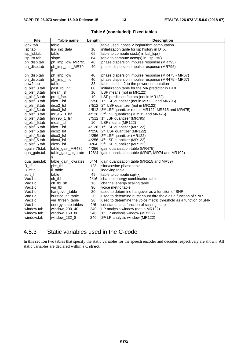| <b>File</b>  | Table name            | Length  | <b>Description</b>                                                |
|--------------|-----------------------|---------|-------------------------------------------------------------------|
| log2.tab     | table                 | 33      | table used inbase 2 logharithm computation                        |
| Isp.tab      | Isp_init_data         | 10      | initialization table for Isp history in DTX                       |
| Isp_Isf.tab  | table                 | 65      | table to compute $cos(x)$ in $Lsf\_lsp()$                         |
| Isp_Isf.tab  | slope                 | 64      | table to compute $acos(x)$ in $Lsp_lsf()$                         |
| ph_disp.tab  | ph_imp_low_MR795      | 40      | phase dispersion impulse response (MR795)                         |
| ph_disp.tab  | ph_imp_mid_MR79<br>5  | 40      | phase dispersion impulse response (MR795)                         |
| ph_disp.tab  | ph_imp_low            | 40      | phase dispersion impulse response (MR475 - MR67)                  |
| ph_disp.tab  | ph_imp_mid            | 40      | phase dispersion impulse response (MR475 - MR67)                  |
| pow2.tab     | table                 | 33      | table used in 2 to the power computation                          |
| q_plsf_3.tab | past rq init          | 80      | initialization table for the MA predictor in DTX                  |
| q_plsf_3.tab | mean_lsf              | 10      | LSF means (not in MR122)                                          |
| q_plsf_3.tab | pred fac              | 10      | LSF prediction factors (not in MR122)                             |
| q_plsf_3.tab | dico1_lsf             | 3*256   | 1 <sup>st</sup> LSF quantizer (not in MR122 and MR795)            |
| q_plsf_3.tab | dico <sub>2_lsf</sub> | $3*512$ | 2 <sup>nd</sup> LSF quantizer (not in MR122)                      |
| q_plsf_3.tab | dico3_lsf             | 4*512   | 3rd LSF quantizer (not in MR122, MR515 and MR475)                 |
| q_plsf_3.tab | mr515_3_lsf           | 4*128   | 3rd LSF quantizer (MR515 and MR475)                               |
| q_plsf_3.tab | mr795_1_lsf           | $3*512$ | 1 <sup>st</sup> LSF quantizer (MR795)                             |
| q_plsf_5.tab | mean_lsf              | 10      | LSF means (MR122)                                                 |
| q_plsf_5.tab | dico1_lsf             | 4*128   | 1 <sup>st</sup> LSF quantizer (MR122)                             |
| q_plsf_5.tab | dico <sub>2</sub> Isf | 4*256   | 2 <sup>nd</sup> LSF quantizer (MR122)                             |
| q_plsf_5.tab | dico3_lsf             | 4*256   | 3rd LSF quantizer (MR122)                                         |
| q_plsf_5.tab | dico4 lsf             | 4*256   | $4th LSF$ quantizer (MR122)                                       |
| q_plsf_5.tab | dico <sub>5_lsf</sub> | $4*64$  | 5 <sup>th</sup> LSF quantizer (MR122)                             |
| qgain475.tab | table_gain_MR475      | 4*256   | gain quantization table (MR475)                                   |
| qua_gain.tab | table_gain_highrate   | 128*4   | gain quantization table (MR67, MR74 and MR102)                    |
| qua_gain.tab | table_gain_lowrates   | 64*4    | gain quantization table (MR515 and MR59)                          |
| R_fft.c      | phs_tbl               | 128     | sine/cosine phase table                                           |
| R_fft.c      | ii_table              | 8       | indexing table                                                    |
| sqrt_l       | table                 | 49      | table to compute sqrt(x)                                          |
| Vad1.c       | ch tbl                | $2*16$  | channel energy combination table                                  |
| Vad1.c       | ch_tbl_sh             | 16      | channel energy scaling table                                      |
| Vad1.c       | vm_tbl                | 90      | voice metric table                                                |
| Vad1.c       | hangover_table        | 20      | used to determine hangover as a function of SNR                   |
| Vad1.c       | burstcount_table      | 20      | used to determine burst count threshold as a function of SNR      |
| Vad1.c       | vm thresh table       | 20      | used to determine the voice metric threshold as a function of SNR |
| Vad1.c       | energy state tables   | $2*6$   | constants as a function of scaling state                          |
| window.tab   | window_200_40         | 240     | LP analysis window (not in MR122)                                 |
| window.tab   | window_160_80         | 240     | 1 <sup>st</sup> LP analysis window (MR122)                        |
| window.tab   | window_232_8          | 240     | 2 <sup>nd</sup> LP analysis window (MR122)                        |

#### **Table 6 (concluded): Fixed tables**

### 4.5.3 Static variables used in the C-code

In this section two tables that specify the static variables for the speech encoder and decoder respectively are shown. All static variables are declared within a C **struct.**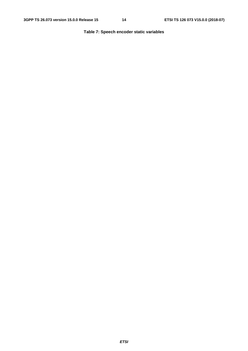#### **Table 7: Speech encoder static variables**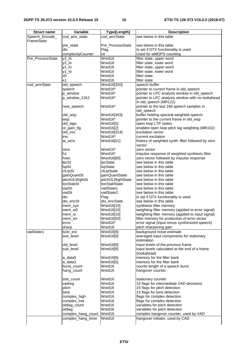| <b>Struct name</b> | Variable                     | Type[Length]       | <b>Description</b>                                                        |
|--------------------|------------------------------|--------------------|---------------------------------------------------------------------------|
| Speech_Encode_     | cod_amr_state                | cod_amrState       | see below in this table                                                   |
| FrameState         |                              |                    |                                                                           |
|                    | pre_state                    | Pre_ProcessState   | see below in this table                                                   |
|                    | dtx                          | Flag               | Is set if DTX functionality is used                                       |
|                    | complexityCounter            | int                | Used for wMOPS counting                                                   |
| Pre_ProcessState   | y2_hi                        | Word16             | filter state, upper word                                                  |
|                    | $y2$ lo                      | Word16             | filter state, lower word                                                  |
|                    | y1_hi                        | Word16             | filter state, upper word                                                  |
|                    | y1_lo                        | Word16             | filter state, lower word                                                  |
|                    | x0                           | Word16             | filter state                                                              |
|                    | x1                           | Word16             | filter state                                                              |
| cod_amrState       | old_speech                   | Word16[320]        | speech buffer                                                             |
|                    | speech                       | Word16*            | pointer to current frame in old_speech                                    |
|                    | p_window                     | Word16*            | pointer to LPC analysis window in old_speech                              |
|                    | p_window_12k2                | Word16*            | pointer to LPC analysis window with no lookahead<br>in old_speech (MR122) |
|                    | new_speech                   | Word16*            | pointer to the last 160 speech samples in<br>old_speech                   |
|                    | old_wsp                      | Word16[303]        | buffer holding spectral weighted speech                                   |
|                    | wsp                          | Word16*            | pointer to the current frame in old_wsp                                   |
|                    | old_lags                     | Word16[5]          | open loop LTP states                                                      |
|                    | ol_gain_flg                  | Word16[2]          | enables open loop pitch lag weighting (MR102)                             |
|                    | old_exc                      | Word16[314]        | excitation vector                                                         |
|                    | exc                          | Word16*            | current excitation                                                        |
|                    | ai_zero                      | Word16[51]         | history of weighted synth. filter followed by zero<br>vector              |
|                    |                              |                    |                                                                           |
|                    | zero<br>h1                   | Word16*<br>Word16* | zero vector<br>impulse response of weighted synthesis filter              |
|                    | hvec                         | Word16[80]         | zero vector followed by impulse response                                  |
|                    | <b>lpcSt</b>                 | lpcState           | see below in this table                                                   |
|                    | <b>IspSt</b>                 | <b>IspState</b>    | see below in this table                                                   |
|                    | <b>clLtpSt</b>               | clLtpState         | see below in this table                                                   |
|                    | gainQuantSt                  | gainQuantState     | see below in this table                                                   |
|                    | pitchOLWghtSt                | pitchOLWghtState   | see below in this table                                                   |
|                    | tonStabSt                    | tonStabState       | see below in this table                                                   |
|                    | vadSt                        | vadState1          | see below in this table                                                   |
|                    | vadSt                        | vadState2          | see below in this table                                                   |
|                    | dtx                          | Flag               | is set if DTX functionality is used                                       |
|                    | dtx_encSt                    | dtx_encState       | see below in this table                                                   |
|                    | mem_syn                      | Word16[10]         | synthesis filter memory                                                   |
|                    | mem_w0                       | Word16[10]         | weighting filter memory (applied to error signal)                         |
|                    | mem w                        | Word16[10]         | weighting filter memory (applied to input signal)                         |
|                    | mem_err                      | Word16[50]         | filter memory for production of error vector                              |
|                    | error                        | Word16*            | error signal (input minus synthesized speech)                             |
|                    | sharp                        | Word16             | pitch sharpening gain                                                     |
| vadState1          | bckr_est                     | Word16[9]          | background noise estimate                                                 |
|                    | ave_level                    | Word16[9]          | averaged input components for stationary<br>estimation                    |
|                    | old_level                    | Word16[9]          | input levels of the previous frame                                        |
|                    | sub_level                    | Word16[9]          | input levels calculated at the end of a frame                             |
|                    |                              |                    | (lookahead)                                                               |
|                    | a data5                      | Word16[6]          | memory for the filter bank                                                |
|                    | a_data3                      | Word16[5]          | memory for the filter bank                                                |
|                    | burst_count                  | Word16             | counts length of a speech burst                                           |
|                    | hang_count                   | Word16             | hangover counter                                                          |
|                    | stat_count                   | Word16             | stationary counter                                                        |
|                    | vadreg                       | Word16             | 15 flags for intermediate VAD decisions                                   |
|                    | pitch                        | Word16             | 15 flags for pitch detection                                              |
|                    | tone                         | Word16             | 15 flags for tone detection                                               |
|                    | complex_high                 | Word16             | flags for complex detection                                               |
|                    | complex_low                  | Word16             | flags for complex detection                                               |
|                    | oldlag_count                 | Word16<br>Word16   | variables for pitch detection                                             |
|                    | oldlag<br>complex_hang_count | Word16             | variables for pitch detection<br>complex hangover counter, used by VAD    |
|                    | complex_hang_timer           | Word16             | hangover initiator, used by CAD                                           |
|                    |                              |                    |                                                                           |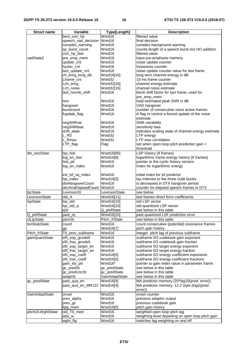| <b>Struct name</b> | Variable                  | Type[Length]                      | <b>Description</b>                                 |
|--------------------|---------------------------|-----------------------------------|----------------------------------------------------|
|                    | best_corr_hp              | Word16                            | filtered value                                     |
|                    | speech_vad_decision       | Word16                            | final decision                                     |
|                    | complex_warning           | Word16                            | complex background warning                         |
|                    | sp_burst_count            | Word16                            | counts length of a speech burst incl HO addition   |
|                    | corr_hp_fast              | Word16                            | filtered value                                     |
| vadState2          | pre_emp_mem               | Word16                            | input pre-emphasis memory                          |
|                    | update_cnt                | Word16                            | noise update counter                               |
|                    | hyster_cnt                | Word16                            | hysteresis counter                                 |
|                    | last_update_cnt           | Word16                            | noise update counter value for last frame          |
|                    | ch_enrg_long_db           | Word16[16]                        | long term channel energy in dB                     |
|                    | Lframe_cnt                | Word32                            | 10 ms frame counter                                |
|                    | Lch_enrg                  | Word32[16]                        | channel energy estimate                            |
|                    | Lch_noise                 | Word32[16]                        | channel noise estimate                             |
|                    | last_normb_shift          | Word16                            | block shift factor for last frame, used for        |
|                    |                           |                                   | pre_emp_mem                                        |
|                    | tsnr                      | Word16                            | total estimated peak SNR in dB                     |
|                    | hangover                  | Word16                            | VAD hangover                                       |
|                    | burstcount                | Word16                            | number of consecutive voice active frames          |
|                    | fupdate_flag              | Word16                            | A flag to control a forced update of the noise     |
|                    |                           |                                   | estimate                                           |
|                    | negSNRvar                 | Word16                            | <b>SNR</b> variability                             |
|                    | negSNRbias                | Word16                            | sensitivity bias                                   |
|                    | shift_state               | Word16                            | indicates scaling state of channel energy estimate |
|                    | L RO                      | Word32                            | LTP energy                                         |
|                    | L_Rmax                    | Word32                            | LTP max correlation                                |
|                    | LTP_flag                  | Flag                              | set when open loop pitch prediction gain >         |
|                    |                           |                                   | threshold                                          |
| dtx_encState       | Isp_hist                  | Word16[80]                        | LSP history (8 frames)                             |
|                    | log_en_hist               | Word16[8]                         | logarithmic frame energy history (8 frames)        |
|                    | hist_ptr                  | Word16                            | pointer to the cyclic history vectors              |
|                    | log_en_index              | Word16                            | Index for logarithmic energy                       |
|                    |                           |                                   |                                                    |
|                    | init_lsf_vq_index         | Word16                            | initial index for Isf predictor                    |
|                    | Isp_index                 | Word16[3]                         | Isp indecies to the three code books               |
|                    | dtxHangoverCount          | Word16                            | is decreased in DTX hangover period                |
|                    | decAnaElapsedCount Word16 |                                   | counter for elapsed speech frames in DTX           |
| IpcState           | LevinsonSt                | LevinsonState                     | see below                                          |
| LevinsonState      | old A                     | Word16[11]                        | last frames direct form coefficients               |
| <b>IspState</b>    | lsp_old                   | $\overline{\textsf{W}}$ ord16[10] | old LSP vector                                     |
|                    | lsp_old_q                 | Word16[10]                        | old quantized LSP vector                           |
|                    | qSt                       | Q_plsfState                       | see below in this table                            |
| Q_plsfState        | past_rq                   | Word16[10]                        | past quantized LSF prediction error                |
| clLtpState         | pitchSt                   | Pitch_frState                     | see below in this table                            |
| tonStabState       | count                     | Word16                            | count consecutive (potential) resonance frames     |
|                    | gp                        | Word16[7]                         | pitch gain history                                 |
| Pitch_frState      | T0_prev_subframe          | Word16                            | integer. pitch lag of previous subframe            |
| gainQuantState     | sf0_exp_gcode0            | Word16                            | subframe 0/2 codebook gain exponent                |
|                    | sf0_frac_gcode0           | Word16                            | subframe 0/2 codebook gain fraction                |
|                    | sf0_exp_target_en         | Word16                            | subframe 0/2 target energy exponent                |
|                    | sf0_frac_target_en        | Word16                            | subframe 0/2 target energy fraction                |
|                    | sf0_exp_coeff             | Word16[5]                         | subframe 0/2 energy coefficient exponents          |
|                    | sf0 frac_coeff            | Word16[5]                         | subframe 0/2 energy coefficient fractions          |
|                    | gain_idx_ptr              | Word16*                           | pointer to gain index value in parameter frame     |
|                    | gc_predSt                 | gc_predState                      | see below in this table                            |
|                    | gc_predUncSt              | gc_predState                      | see below in this table                            |
|                    | adaptSt                   | GainAdaptState                    | see below in this table                            |
| gc_predState       | past_qua_en               | Word16[4]                         | MA predictor memory (20*log10(pred. error))        |
|                    | past_qua_en_MR122         | Word16[4]                         | MA predictor memory, 12.2 style (log2(pred.        |
|                    |                           |                                   | error))                                            |
| GainAdaptState     | onset                     | Word16                            | onset counter                                      |
|                    | prev_alpha                | Word16                            | previous adaptor output                            |
|                    | prev_gc                   | Word16                            | previous codebook gain                             |
|                    | Itpg_mem                  | Word16[5]                         | pitch gain history                                 |
| pitchOLWghtState   | old_T0_med                | Word16                            | weighted open loop pitch lag                       |
|                    | ada_w                     | Word16                            | weigthing level depeding on open loop pitch gain   |
|                    | wght_flg                  | Word16                            | switches lag weighting on and off                  |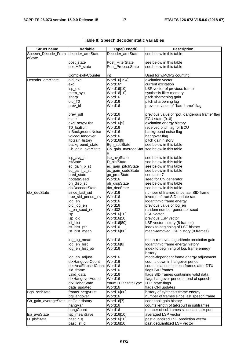| <b>Struct name</b>   | Variable              | Type[Length]        | <b>Description</b>                            |
|----------------------|-----------------------|---------------------|-----------------------------------------------|
| Speech_Decode_Fram   | decoder_amrState      | Decoder_amrState    | see below in this table                       |
| eState               |                       |                     |                                               |
|                      | post_state            | Post FilterState    | see below in this table                       |
|                      | postHP_state          | Post_ProcessState   | see below in this table                       |
|                      |                       |                     |                                               |
|                      |                       |                     |                                               |
|                      | ComplexityCounter     | int                 | Used for wMOPS counting                       |
| Decoder_amrState     | old_exc               | Word16[194]         | excitation vector                             |
|                      | exc                   | Word16*             | current excitation                            |
|                      | lsp_old               | Word16[10]          | LSP vector of previous frame                  |
|                      | mem_syn               | Word16[10]          | synthesis filter memory                       |
|                      | sharp                 | Word16              | pitch sharpening gain                         |
|                      | old_T0                | Word16              | pitch sharpening lag                          |
|                      | prev bf               | Word16              | previous value of "bad frame" flag            |
|                      |                       |                     |                                               |
|                      | prev_pdf              | Word16              | previous value of "pot. dangerous frame" flag |
|                      | state                 | Word16              | ECU state $(06)$                              |
|                      | excEnergyHist         | Word16[9]           | excitation energy history                     |
|                      | T0_lagBuff            | Word16              | received pitch lag for ECU                    |
|                      | inBackgroundNoise     | Word16              | background noise flag                         |
|                      | voicedHangover        | Word16              | hangover flag                                 |
|                      | <b>ItpGainHistory</b> | Word16[9]           |                                               |
|                      |                       |                     | pitch gain history                            |
|                      | background_state      | Bgn_scdState        | see below in this table                       |
|                      | Cb_gain_averState     | Cb_gain_averageStat | see below in this table                       |
|                      | lsp_avg_st            | е<br>lsp_avgState   | see below in this table                       |
|                      | <b>IsfState</b>       | D_plsfState         | see below in this table                       |
|                      |                       | ec_gain_pitchState  | see below in this table                       |
|                      | ec_gain_p_st          |                     |                                               |
|                      | ec_gain_c_st          | ec_gain_codeState   | see below in this table                       |
|                      | pred_state            | gc_predState        | see table 7                                   |
|                      | nodataSeed            | Word16              | seed for CN generator                         |
|                      | ph_disp_st            | ph_dispState        | see below in this table                       |
|                      | dtxDecoderState       | dtx_decState        | see below in this table                       |
| dtx_decState         | since_last_sid        | Word16              | number of frames since last SID frame         |
|                      | true_sid_period_inv   | Word16              | inverse of true SID update rate               |
|                      | log_en                | Word16              | logarithmic frame energy                      |
|                      | old_log_en            | Word16              | previous value of log_en                      |
|                      | L_pn_seed_rx          | Word32              | random number generator seed                  |
|                      | <b>Isp</b>            | Word16[10]          | LSP vector                                    |
|                      | Isp_old               | Word16[10]          | previous LSP vector                           |
|                      | Isf_hist              | Word16[80]          | LSF vector history (8 frames)                 |
|                      |                       | Word16              |                                               |
|                      | lsf_hist_ptr          |                     | index to beginning of LSF history             |
|                      | Isf_hist_mean         | Word16[80]          | mean-removed LSF history (8 frames)           |
|                      | log_pg_mean           | Word16              | mean-removed logarithmic prediction gain      |
|                      | log_en_hist           | Word16[8]           | logarithmic frame energy history              |
|                      | log_en_hist_ptr       | Word16              | index to beginning of log, frame energy       |
|                      |                       |                     | history                                       |
|                      | log_en_adjust         | Word16              | mode-dependent frame energy adjustment        |
|                      | dtxHangoverCount      | Word16              | counts down in hangover period                |
|                      | decAnaElapsedCount    | Word16              | counts elapsed speech frames after DTX        |
|                      | sid_frame             | Word16              | flags SID frames                              |
|                      | valid_data            | Word16              | flags SID frames containing valid data        |
|                      |                       |                     |                                               |
|                      | dtxHangoverAdded      | Word16              | flags hangover period at end of speech        |
|                      | dtxGlobalState        | enum DTXStateType   | DTX state flags                               |
|                      | data_updated          | Word16              | flags CNI updates                             |
| Bgn_scdState         | frameEnergyHist       | Word16[60]          | history of synthesis frame energy             |
|                      | bgHangover            | Word16              | number of frames since last speech frame      |
| Cb_gain_averageState | cbGainHistory         | Word16[7]           | codebook gain history                         |
|                      | hangVar               | Word16              | counts length of talkspurt in subframes       |
|                      | hangCount             | Word16              | number of subframes since last talkspurt      |
| lsp_avgState         | Isp_meanSave          | Word16[10]          | averaged LSP vector                           |
| D_plsfState          | past_r_q              | Word16[10]          | past quantized LSF prediction vector          |
|                      | past_lsf_q            | Word16[10]          | past dequantized LSF vector                   |

#### **Table 8: Speech decoder static variables**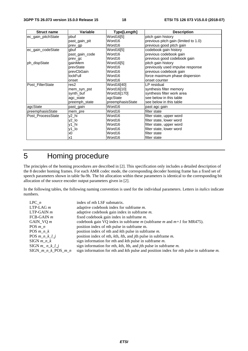| <b>Struct name</b> | Variable        | Type[Length]     | <b>Description</b>                   |
|--------------------|-----------------|------------------|--------------------------------------|
| ec_gain_pitchState | pbuf            | Word16[5]        | pitch gain history                   |
|                    | past_gain_pit   | Word16           | previous pitch gain (limited to 1.0) |
|                    | prev_gp         | Word16           | previous good pitch gain             |
| ec_gain_codeState  | gbuf            | Word16[5]        | codebook gain history                |
|                    | past_gain_code  | Word16           | previous codebook gain               |
|                    | prev gc         | Word16           | previous good codebook gain          |
| ph_dispState       | qainMem         | Word16[5]        | pitch gain history                   |
|                    | prevState       | Word16           | previously used impulse response     |
|                    | prevCbGain      | Word16           | previous codebook gain               |
|                    | <b>lockFull</b> | Word16           | force maximum phase dispersion       |
|                    | onset           | Word16           | onset counter                        |
| Post FilterState   | res2            | Word16[40]       | LP residual                          |
|                    | mem_syn_pst     | Word16[10]       | synthesis filter memory              |
|                    | synth_buf       | Word16[170]      | synthesis filter work area           |
|                    | agc_state       | agcState         | see below in this table              |
|                    | preemph_state   | preemphasisState | see below in this table              |
| agcState           | past_gain       | Word16           | past agc gain                        |
| preemphasisState   | mem_pre         | Word16           | filter state                         |
| Post ProcessState  | y2_hi           | Word16           | filter state, upper word             |
|                    | y2_lo           | Word16           | filter state, lower word             |
|                    | y1_hi           | Word16           | filter state, upper word             |
|                    | y1_lo           | Word16           | filter state, lower word             |
|                    | x0              | Word16           | filter state                         |
|                    | x1              | Word16           | filter state                         |

# 5 Homing procedure

The principles of the homing procedures are described in [2]. This specification only includes a detailed description of the 8 decoder homing frames. For each AMR codec mode, the corresponding decoder homing frame has a fixed set of speech parameters shown in table 9a-9h. The bit allocation within these parameters is identical to the corresponding bit allocation of the source encoder output parameters given in [2].

In the following tables, the following naming convention is used for the individual parameters. Letters in *italics* indicate numbers.

| $LPC$ <i>n</i>          | index of <i>n</i> th LSF submatrix.                                                                                    |
|-------------------------|------------------------------------------------------------------------------------------------------------------------|
| $LTP-LAGm$              | adaptive codebook index for subframe <i>m</i> .                                                                        |
| $LTP-GAIN$ <i>m</i>     | adaptive codebook gain index in subframe $m$ .                                                                         |
| $FCB-GAIN$ <i>m</i>     | fixed codebook gain index in subframe m.                                                                               |
| GAIN VQ $m$             | codebook gain VQ index in subframe $m$ (subframe $m$ and $m+1$ for MR475).                                             |
| POS $m_n$               | position index of <i>n</i> th pulse in subframe m.                                                                     |
| POS $m \, n \, k$       | position index of <i>n</i> th and <i>k</i> th pulse in subframe <i>m</i> .                                             |
| POS $m_n k_l$           | position index of <i>nth</i> , <i>kth</i> , <i>lth</i> , and <i>jth</i> pulse in subframe <i>m</i> .                   |
| $SIGN$ <i>m n</i> $k$   | sign information for <i>n</i> th and $k$ th pulse in subframe $m$ .                                                    |
| $SIGN$ <i>m n k l j</i> | sign information for <i>n</i> th, <i>k</i> th, <i>l</i> th, and <i>j</i> th pulse in subframe $m$ .                    |
| $SIGN_{m,n-k}POS_{m,n}$ | sign information for <i>n</i> th and <i>k</i> th pulse and position index for <i>n</i> th pulse in subframe <i>m</i> . |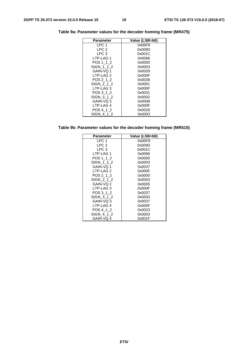| Parameter        | Value (LSB=b0) |
|------------------|----------------|
| LPC 1            | 0x00F8         |
| LPC 2            | 0x009D         |
| LPC <sub>3</sub> | 0x001C         |
| LTP-LAG 1        | 0x0066         |
| POS 1 1 2        | 0x0000         |
| SIGN 1 1 2       | 0x0003         |
| GAIN-VQ 1        | 0x0028         |
| LTP-LAG 2        | 0x000F         |
| POS 2 1 2        | 0x0038         |
| SIGN 2 1 2       | 0x0001         |
| LTP-LAG 3        | 0x000F         |
| POS 3 1 2        | 0x0031         |
| SIGN 3 1 2       | 0x0002         |
| GAIN-VQ 3        | 0x0008         |
| LTP-LAG 4        | 0x000F         |
| POS 4 1 2        | 0x0026         |
| SIGN 4 1 2       | 0x0003         |

**Table 9a: Parameter values for the decoder homing frame (MR475)** 

| Table 9b: Parameter values for the decoder homing frame (MR515) |  |  |  |
|-----------------------------------------------------------------|--|--|--|
|-----------------------------------------------------------------|--|--|--|

| <b>Parameter</b> | Value (LSB=b0) |
|------------------|----------------|
| LPC 1            | 0x00F8         |
| LPC <sub>2</sub> | 0x009D         |
| LPC 3            | 0x001C         |
| LTP-LAG 1        | 0x0066         |
| POS 1 1 2        | 0x0000         |
| SIGN 1 1 2       | 0x0003         |
| GAIN-VO 1        | 0x0037         |
| LTP-LAG 2        | 0x000F         |
| POS 2 1 2        | 0x0000         |
| SIGN 2 1 2       | 0x0003         |
| GAIN-VQ 2        | 0x0005         |
| LTP-LAG 3        | 0x000F         |
| POS 3 1 2        | 0x0037         |
| SIGN 3 1 2       | 0x0003         |
| GAIN-VQ 3        | 0x0037         |
| LTP-LAG4         | 0x000F         |
| POS 4 1 2        | 0x0023         |
| SIGN 4 1 2       | 0x0003         |
| GAIN-VQ 4        | 0x001F         |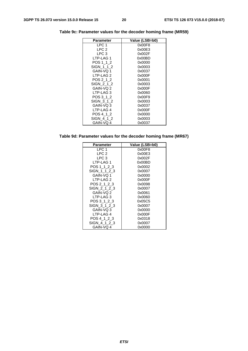| <b>Parameter</b>     | Value (LSB=b0) |
|----------------------|----------------|
| LPC 1                | 0x00F8         |
| LPC <sub>2</sub>     | 0x00E3         |
| LPC 3                | 0x002F         |
| LTP-LAG 1            | 0x00BD         |
| POS 1 1 2            | 0x0000         |
| SIGN 1 1 2           | 0x0003         |
| GAIN-VO 1            | 0x0037         |
| LTP-LAG <sub>2</sub> | 0x000F         |
| POS 2 1 2            | 0x0001         |
| SIGN 2 1 2           | 0x0003         |
| GAIN-VQ 2            | 0x000F         |
| LTP-LAG 3            | 0x0060         |
| POS 3 1 2            | 0x00F9         |
| SIGN 3 1 2           | 0x0003         |
| GAIN-VQ 3            | 0x0037         |
| LTP-LAG 4            | 0x000F         |
| POS 4 1 2            | 0x0000         |
| SIGN 4 1 2           | 0x0003         |
| GAIN-VQ 4            | 0x0037         |

**Table 9c: Parameter values for the decoder homing frame (MR59)** 

**Table 9d: Parameter values for the decoder homing frame (MR67)** 

| <b>Parameter</b> | Value (LSB=b0) |
|------------------|----------------|
| LPC 1            | 0x00F8         |
| LPC <sub>2</sub> | 0x00E3         |
| LPC 3            | 0x002F         |
| LTP-LAG 1        | 0x00BD         |
| POS 1 1 2 3      | 0x0002         |
| SIGN 1 1 2 3     | 0x0007         |
| GAIN-VO 1        | 0x0000         |
| LTP-LAG 2        | 0x000F         |
| POS 2 1 2 3      | 0x0098         |
| SIGN 2 1 2 3     | 0x0007         |
| GAIN-VQ 2        | 0x0061         |
| LTP-LAG 3        | 0x0060         |
| POS 3 1 2 3      | 0x05C5         |
| SIGN 3 1 2 3     | 0x0007         |
| GAIN-VQ 3        | 0x0000         |
| LTP-LAG 4        | 0x000F         |
| POS 4 1 2 3      | 0x0318         |
| SIGN 4 1 2 3     | 0x0007         |
| GAIN-VQ 4        | 0x0000         |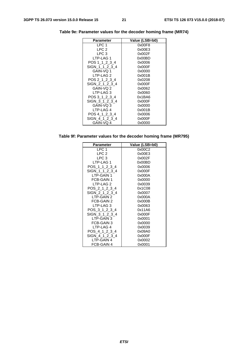| <b>Parameter</b> | Value (LSB=b0) |
|------------------|----------------|
| LPC 1            | 0x00F8         |
| LPC <sub>2</sub> | 0x00E3         |
| LPC 3            | 0x002F         |
| LTP-LAG 1        | 0x00BD         |
| POS 1 1 2 3 4    | 0x0006         |
| SIGN 1 1 2 3 4   | 0x000F         |
| GAIN-VO 1        | 0x0000         |
| LTP-LAG 2        | 0x001B         |
| POS 2 1 2 3 4    | 0x0208         |
| SIGN 2 1 2 3 4   | 0x000F         |
| GAIN-VQ 2        | 0x0062         |
| LTP-LAG 3        | 0x0060         |
| POS 3 1 2 3 4    | 0x1BA6         |
| SIGN 3 1 2 3 4   | 0x000F         |
| GAIN-VQ 3        | 0x0000         |
| LTP-LAG 4        | 0x001B         |
| POS 4 1 2 3 4    | 0x0006         |
| SIGN 4 1 2 3 4   | 0x000F         |
| GAIN-VQ 4        | 0x0000         |

**Table 9e: Parameter values for the decoder homing frame (MR74)** 

**Table 9f: Parameter values for the decoder homing frame (MR795)** 

| <b>Parameter</b> | Value (LSB=b0) |
|------------------|----------------|
| LPC 1            | 0x00C2         |
| LPC <sub>2</sub> | 0x00E3         |
| LPC 3            | 0x002F         |
| LTP-LAG 1        | 0x00BD         |
| POS 1 1 2 3 4    | 0x0006         |
| SIGN 1 1 2 3 4   | 0x000F         |
| LTP-GAIN 1       | 0x000A         |
| FCB-GAIN 1       | 0x0000         |
| LTP-LAG 2        | 0x0039         |
| POS 2 1 2 3 4    | 0x1C08         |
| SIGN 2 1 2 3 4   | 0x0007         |
| LTP-GAIN 2       | 0x000A         |
| FCB-GAIN 2       | 0x000B         |
| LTP-LAG 3        | 0x0063         |
| POS 3 1 2 3 4    | 0x11A6         |
| SIGN 3 1 2 3 4   | 0x000F         |
| LTP-GAIN 3       | 0x0001         |
| FCB-GAIN 3       | 0x0000         |
| LTP-LAG 4        | 0x0039         |
| POS 4 1 2 3 4    | 0x09A0         |
| SIGN 4 1 2 3 4   | 0x000F         |
| LTP-GAIN 4       | 0x0002         |
| FCB-GAIN 4       | 0x0001         |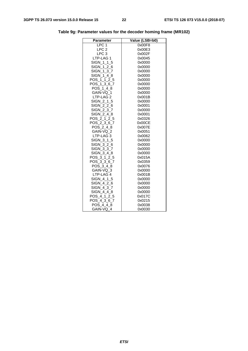| <b>Parameter</b> | Value (LSB=b0) |
|------------------|----------------|
| LPC <sub>1</sub> | 0x00F8         |
| LPC <sub>2</sub> | 0x00E3         |
| LPC <sub>3</sub> | 0x002F         |
| LTP-LAG 1        | 0x0045         |
| SIGN_1_1_5       | 0x0000         |
| SIGN 1 2 6       | 0x0000         |
| SIGN_1_3_7       | 0x0000         |
| SIGN 1 4 8       | 0x0000         |
| POS 1 1 2 5      | 0x0000         |
| POS_1_3_6_7      | 0x0000         |
| POS 1 4 8        | 0x0000         |
| GAIN-VQ 1        | 0x0000         |
| LTP-LAG 2        | 0x001B         |
| SIGN 2 1 5       | 0x0000         |
| SIGN 2 2 6       | 0x0001         |
| SIGN_2_3_7       | 0x0000         |
| SIGN_2_4_8       | 0x0001         |
| POS_2_1_2_5      | 0x0326         |
| POS_2_3_6_7      | 0x00CE         |
| POS 2 4 8        | 0x007E         |
| GAIN-VQ 2        | 0x0051         |
| LTP-LAG 3        | 0x0062         |
| SIGN_3_1_5       | 0x0000         |
| SIGN_3_2_6       | 0x0000         |
| SIGN 3 3 7       | 0x0000         |
| SIGN 3 4 8       | 0x0000         |
| POS 3 1 2 5      | 0x015A         |
| POS 3 3 6 7      | 0x0359         |
| POS 3 4 8        | 0x0076         |
| GAIN-VQ_3        | 0x0000         |
| LTP-LAG 4        | 0x001B         |
| SIGN 4 1 5       | 0x0000         |
| SIGN 4 2 6       | 0x0000         |
| SIGN 4 3 7       | 0x0000         |
| SIGN 4 4 8       | 0x0000         |
| POS_4_1_2_5      | 0x017C         |
| POS_4_3_6_7      | 0x0215         |
| POS 4 4 8        | 0x0038         |
| GAIN-VQ 4        | 0x0030         |

**Table 9g: Parameter values for the decoder homing frame (MR102)**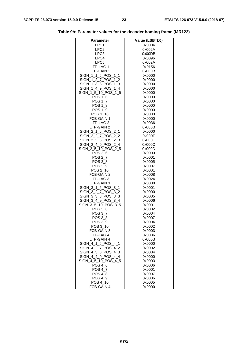| LPC1<br>0x0004<br>LPC2<br>0x002A<br>LPC3<br>0x00DB<br>LPC4<br>0x0096<br>LPC <sub>5</sub><br>0x002A<br>LTP-LAG 1<br>0x0156<br>LTP-GAIN 1<br>0x000B<br>SIGN 1 1 6 POS 1 1<br>0x0000<br>SIGN 1 2 7 POS 1 2<br>0x0000<br>SIGN_1_3_8_POS_1_3<br>0x0000 |  |
|---------------------------------------------------------------------------------------------------------------------------------------------------------------------------------------------------------------------------------------------------|--|
|                                                                                                                                                                                                                                                   |  |
|                                                                                                                                                                                                                                                   |  |
|                                                                                                                                                                                                                                                   |  |
|                                                                                                                                                                                                                                                   |  |
|                                                                                                                                                                                                                                                   |  |
|                                                                                                                                                                                                                                                   |  |
|                                                                                                                                                                                                                                                   |  |
|                                                                                                                                                                                                                                                   |  |
|                                                                                                                                                                                                                                                   |  |
|                                                                                                                                                                                                                                                   |  |
| SIGN_1_4_9_POS_1_4<br>0x0000                                                                                                                                                                                                                      |  |
| SIGN_1_5_10_POS_1_5<br>0x0000                                                                                                                                                                                                                     |  |
| POS 1 6<br>0x0000                                                                                                                                                                                                                                 |  |
| POS 1_7<br>0x0000                                                                                                                                                                                                                                 |  |
| POS 1_8<br>0x0000                                                                                                                                                                                                                                 |  |
|                                                                                                                                                                                                                                                   |  |
| POS 1_9<br>0x0000                                                                                                                                                                                                                                 |  |
| POS 1_10<br>0x0000                                                                                                                                                                                                                                |  |
| FCB-GAIN 1<br>0x0000                                                                                                                                                                                                                              |  |
| LTP-LAG 2<br>0x0036                                                                                                                                                                                                                               |  |
| LTP-GAIN 2<br>0x000B                                                                                                                                                                                                                              |  |
| SIGN_2_1_6_POS_2_1<br>0x0000                                                                                                                                                                                                                      |  |
| SIGN_2_2_7_POS_2_2<br>0x000F                                                                                                                                                                                                                      |  |
| SIGN_2_3_8_POS_2_3<br>0x000E                                                                                                                                                                                                                      |  |
| SIGN 2 4 9 POS 2 4<br>0x000C                                                                                                                                                                                                                      |  |
| SIGN_2_5_10_POS_2_5<br>0x000D                                                                                                                                                                                                                     |  |
| POS 2_6<br>0x0000                                                                                                                                                                                                                                 |  |
| POS 2_7<br>0x0001                                                                                                                                                                                                                                 |  |
| POS 2_8<br>0x0005                                                                                                                                                                                                                                 |  |
| POS 2_9<br>0x0007                                                                                                                                                                                                                                 |  |
| POS 2_10<br>0x0001                                                                                                                                                                                                                                |  |
| FCB-GAIN 2<br>0x0008                                                                                                                                                                                                                              |  |
| LTP-LAG 3<br>0x0024                                                                                                                                                                                                                               |  |
| LTP-GAIN 3<br>0x0000                                                                                                                                                                                                                              |  |
| SIGN_3_1_6_POS_3_1<br>0x0001                                                                                                                                                                                                                      |  |
| SIGN_3_2_7_POS_3_2<br>0x0000                                                                                                                                                                                                                      |  |
| SIGN_3_3_8_POS_3_3<br>0x0005                                                                                                                                                                                                                      |  |
| SIGN 3 4 9 POS 3 4<br>0x0006                                                                                                                                                                                                                      |  |
| SIGN_3_5_10_POS_3_5<br>0x0001                                                                                                                                                                                                                     |  |
| POS 3_6<br>0x0002                                                                                                                                                                                                                                 |  |
| POS 3_7<br>0x0004                                                                                                                                                                                                                                 |  |
| POS 3_8<br>0x0007                                                                                                                                                                                                                                 |  |
| POS 3 9<br>0x0004                                                                                                                                                                                                                                 |  |
| POS 3_10<br>0x0002                                                                                                                                                                                                                                |  |
| FCB-GAIN 3<br>0x0003                                                                                                                                                                                                                              |  |
| LTP-LAG 4<br>0x0036                                                                                                                                                                                                                               |  |
| LTP-GAIN 4<br>0x000B                                                                                                                                                                                                                              |  |
| SIGN_4_1_6_POS_4_1<br>0x0000                                                                                                                                                                                                                      |  |
| SIGN 4 2 7 POS 4 2<br>0x0002                                                                                                                                                                                                                      |  |
| SIGN 4 3 8 POS 4 3<br>0x0004                                                                                                                                                                                                                      |  |
| SIGN_4_4_9_POS_4_4<br>0x0000                                                                                                                                                                                                                      |  |
| SIGN_4_5_10_POS_4_5<br>0x0003                                                                                                                                                                                                                     |  |
| POS 4 6<br>0x0006                                                                                                                                                                                                                                 |  |
| POS 4_7<br>0x0001                                                                                                                                                                                                                                 |  |
| POS 4 8<br>0x0007                                                                                                                                                                                                                                 |  |
| POS 4_9<br>0x0006                                                                                                                                                                                                                                 |  |
| POS 4_10<br>0x0005                                                                                                                                                                                                                                |  |
| FCB-GAIN 4<br>0x0000                                                                                                                                                                                                                              |  |

**Table 9h: Parameter values for the decoder homing frame (MR122)**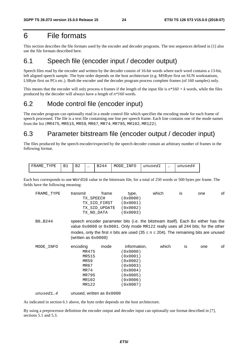# 6 File formats

This section describes the file formats used by the encoder and decoder programs. The test sequences defined in [1] also use the file formats described here.

### 6.1 Speech file (encoder input / decoder output)

Speech files read by the encoder and written by the decoder consist of 16-bit words where each word contains a 13-bit, left aligned speech sample. The byte order depends on the host architecture (e.g. MSByte first on SUN workstations, LSByte first on PCs etc.). Both the encoder and the decoder program process complete frames (of 160 samples) only.

This means that the encoder will only process *n* frames if the length of the input file is  $n*160 + k$  words, while the files produced by the decoder will always have a length of *n\*160* words.

## 6.2 Mode control file (encoder input)

The encoder program can optionally read in a mode control file which specifies the encoding mode for each frame of speech processed. The file is a text file containing one line per speech frame. Each line contains one of the mode names from the list {MR475, MR515, MR59, MR67, MR74, MR795, MR102, MR122}.

# 6.3 Parameter bitstream file (encoder output / decoder input)

The files produced by the speech encoder/expected by the speech decoder contain an arbitrary number of frames in the following format.

| ᇭᅏ<br>TT.<br>AMF<br>– ⊷ | . .<br>__ | $\overline{\phantom{a}}$<br>⋻∠ | $\cdots$ | 44 | INFO<br>MODE | unusedl | $\cdots$ | 112177777<br>unusea4 |
|-------------------------|-----------|--------------------------------|----------|----|--------------|---------|----------|----------------------|
|-------------------------|-----------|--------------------------------|----------|----|--------------|---------|----------|----------------------|

Each box corresponds to one Word16 value in the bitstream file, for a total of 250 words or 500 bytes per frame. The fields have the following meaning:

| FRAME TYPE | transmit<br>frame | type.    | which | IS | one | οf |
|------------|-------------------|----------|-------|----|-----|----|
|            | TX SPEECH         | (0x0000) |       |    |     |    |
|            | TX SID FIRST      | (0x0001) |       |    |     |    |
|            | TX SID UPDATE     | (0x0002) |       |    |     |    |
|            | TX NO DATA        | (0x0003) |       |    |     |    |
|            |                   |          |       |    |     |    |

B0…B244 speech encoder parameter bits (i.e. the bitstream itself). Each B*x* either has the value 0x0000 or 0x0001. Only mode MR122 really uses all 244 bits; for the other modes, only the first *n* bits are used (35  $\leq$  n  $\leq$  204). The remaining bits are unused (written as  $0 \times 0000$ )

| MODE INFO | encoding | mode | information, | which | İS | one | of |
|-----------|----------|------|--------------|-------|----|-----|----|
|           | MR475    |      | (0x0000)     |       |    |     |    |
|           | MR515    |      | (0x0001)     |       |    |     |    |
|           | MR59     |      | (0x0002)     |       |    |     |    |
|           | MR67     |      | (0x0003)     |       |    |     |    |
|           | MR74     |      | (0x0004)     |       |    |     |    |
|           | MR795    |      | (0x0005)     |       |    |     |    |
|           | MR102    |      | (0x0006)     |       |    |     |    |
|           | MR122    |      | (0x0007)     |       |    |     |    |
|           |          |      |              |       |    |     |    |

*unused1…4* unused, written as 0x0000

As indicated in section 6.1 above, the byte order depends on the host architecture.

By using a preprocessor definition the encoder output and decoder input can optionally use format described in [7], sections 5.1 and 5.3.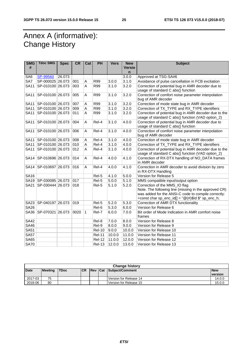# Annex A (informative): Change History

| <b>SMG</b><br># | <b>Tdoc SMG</b>           | <b>Spec</b> | <b>CR</b> | Cat          | PH            | <b>Vers</b> | <b>New</b><br><b>Versio</b><br>n | <b>Subject</b>                                                                                                                                                                                             |
|-----------------|---------------------------|-------------|-----------|--------------|---------------|-------------|----------------------------------|------------------------------------------------------------------------------------------------------------------------------------------------------------------------------------------------------------|
| SA6             | SP-99560                  | 26.073      |           |              |               |             | 3.0.0                            | Approved at TSG-SA#6                                                                                                                                                                                       |
| SA7             | SP-000025 26.073          |             | 001       | Α            | <b>R99</b>    | 3.0.0       | 3.1.0                            | Avoidance of pulse cancellation in FCB excitation                                                                                                                                                          |
| <b>SA11</b>     | SP-010100 26.073          |             | 003       | A            | R99           | 3.1.0       | 3.2.0                            | Correction of potential bug in AMR decoder due to<br>usage of standard C abs() function                                                                                                                    |
| <b>SA11</b>     | SP-010100 26.073          |             | 005       | A            | R99           | 3.1.0       | 3.2.0                            | Correction of comfort noise parameter interpolation<br>bug of AMR decoder                                                                                                                                  |
| <b>SA11</b>     | SP-010100 26.073          |             | 007       | Α            | R99           | 3.1.0       | 3.2.0                            | Correction of mode state bug in AMR decoder                                                                                                                                                                |
| <b>SA11</b>     | SP-010100 26.073          |             | 009       | Α            | R99           | 3.1.0       | 3.2.0                            | Correction of TX_TYPE and RX_TYPE identifiers                                                                                                                                                              |
| <b>SA11</b>     | SP-010100 26.073          |             | 011       | A            | <b>R99</b>    | 3.1.0       | 3.2.0                            | Correction of potential bug in AMR decoder due to the<br>usage of standard C abs() function (VAD option_2)                                                                                                 |
| <b>SA11</b>     | SP-010100 26.073          |             | 004       | A            | Rel-4         | 3.1.0       | 4.0.0                            | Correction of potential bug in AMR decoder due to<br>usage of standard C abs() function                                                                                                                    |
| <b>SA11</b>     | SP-010100 26.073          |             | 006       | A            | Rel-4         | 3.1.0       | 4.0.0                            | Correction of comfort noise parameter interpolation<br>bug of AMR decoder                                                                                                                                  |
| <b>SA11</b>     | SP-010100 26.073          |             | 008       | Α            | Rel-4         | 3.1.0       | 4.0.0                            | Correction of mode state bug in AMR decoder                                                                                                                                                                |
| <b>SA11</b>     | SP-010100 26.073          |             | 010       | A            | Rel-4         | 3.1.0       | 4.0.0                            | Correction of TX_TYPE and RX_TYPE identifiers                                                                                                                                                              |
| <b>SA11</b>     | SP-010100 26.073          |             | 012       | A            | Rel-4         | 3.1.0       | 4.0.0                            | Correction of potential bug in AMR decoder due to the<br>usage of standard C abs() function (VAD option_2)                                                                                                 |
|                 | SA14   SP-010696   26.073 |             | 014       | Α            | Rel-4         | 4.0.0       | 4.1.0                            | Correction of RX-DTX handling of NO_DATA frames<br>in AMR decoder                                                                                                                                          |
| <b>SA14</b>     | SP-010697 26.073          |             | 016       | A            | Rel-4         | 4.0.0       | 4.1.0                            | Correction in AMR decoder to avoid division by zero<br>in RX-DTX Handling                                                                                                                                  |
| <b>SA16</b>     |                           |             |           |              | Rel-5         | 4.1.0       | 5.0.0                            | Version for Release 5                                                                                                                                                                                      |
|                 | SA19 SP-030085 26.073     |             | 017       |              | Rel-5         | 5.0.0       | 5.1.0                            | MMS compatible input/output option                                                                                                                                                                         |
| <b>SA21</b>     | SP-030444 26.073          |             | 018       |              | Rel-5         | 5.1.0       | 5.2.0                            | Correction of the MMS_IO flag<br>Note. The following line (missing in the approved CR)<br>was added for the ANSI-C code to compile correctly:<br>+const char sp_enc_id[] = " $@(\#)\$$ ld $\$$ " sp_enc_h; |
|                 | SA23 SP-040197 26.073     |             | 019       |              | Rel-5         | 5.2.0       | 5.3.0                            | Correction of AMR DTX functionality                                                                                                                                                                        |
| <b>SA26</b>     |                           |             |           |              | Rel-6         | 5.3.0       | 6.0.0                            | Version for Release 6                                                                                                                                                                                      |
|                 | SA36   SP-070321   26.073 |             | 0020      | $\mathbf{1}$ | Rel-7         | 6.0.0       | 7.0.0                            | Bit order of Mode Indication in AMR comfort noise<br>frames                                                                                                                                                |
| <b>SA42</b>     |                           |             |           |              | Rel-8         | 7.0.0       | 8.0.0                            | Version for Release 8                                                                                                                                                                                      |
| <b>SA46</b>     |                           |             |           |              | Rel-9         | 8.0.0       | 9.0.0                            | Version for Release 9                                                                                                                                                                                      |
| <b>SA51</b>     |                           |             |           |              | <b>Rel-10</b> | 9.0.0       | 10.0.0                           | Version for Release 10                                                                                                                                                                                     |
| <b>SA57</b>     |                           |             |           |              | <b>Rel-11</b> | 10.0.0      | 11.0.0                           | Version for Release 11                                                                                                                                                                                     |
| <b>SA65</b>     |                           |             |           |              | <b>Rel-12</b> | 11.0.0      | 12.0.0                           | Version for Release 12                                                                                                                                                                                     |
| <b>SA70</b>     |                           |             |           |              | <b>Rel-13</b> | 12.0.0      | 13.0.0                           | Version for Release 13                                                                                                                                                                                     |

|             | <b>Change history</b> |             |           |  |  |                                |            |  |
|-------------|-----------------------|-------------|-----------|--|--|--------------------------------|------------|--|
| <b>Date</b> | <b>Meeting</b>        | <b>TDoc</b> | <b>CR</b> |  |  | <b>Rev Cat Subject/Comment</b> | <b>New</b> |  |
|             |                       |             |           |  |  |                                | version    |  |
| 2017-03     | 75                    |             |           |  |  | Version for Release 14         | 14.0.0     |  |
| 2018-06     | 80                    |             |           |  |  | Version for Release 15         | 15.0.0     |  |